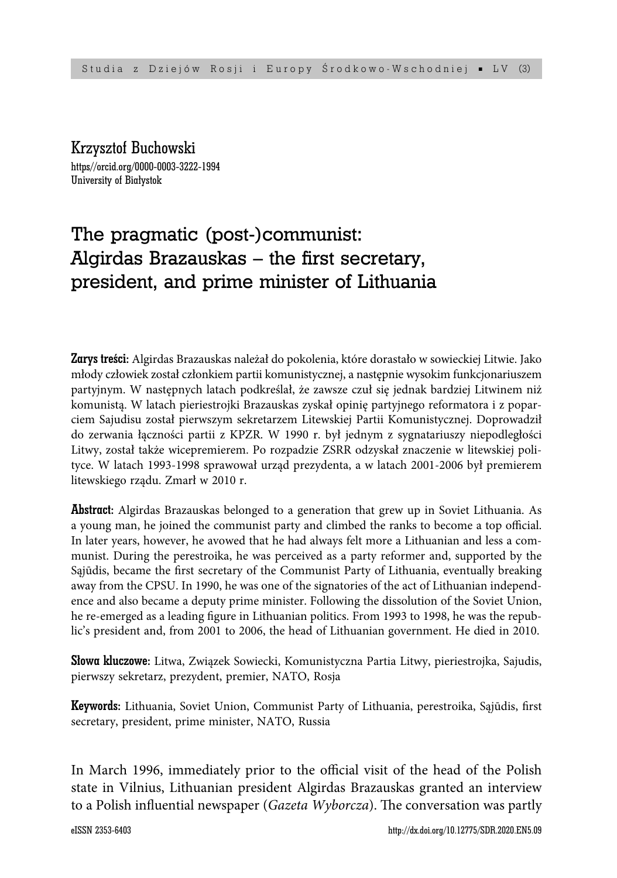Krzysztof Buchowski https//orcid.org/0000-0003-3222-1994 University of Białystok

# The pragmatic (post-)communist: Algirdas Brazauskas  $-$  the first secretary, president, and prime minister of Lithuania

Zarys treści: Algirdas Brazauskas należał do pokolenia, które dorastało w sowieckiej Litwie. Jako młody człowiek został członkiem partii komunistycznej, a następnie wysokim funkcjonariuszem partyjnym. W następnych latach podkreślał, że zawsze czuł się jednak bardziej Litwinem niż komunistą. W latach pieriestrojki Brazauskas zyskał opinię partyjnego reformatora i z poparciem Sajudisu został pierwszym sekretarzem Litewskiej Partii Komunistycznej. Doprowadził do zerwania łączności partii z KPZR. W 1990 r. był jednym z sygnatariuszy niepodległości Litwy, został także wicepremierem. Po rozpadzie ZSRR odzyskał znaczenie w litewskiej polityce. W latach 1993-1998 sprawował urząd prezydenta, a w latach 2001-2006 był premierem litewskiego rządu. Zmarł w 2010 r.

**Abstract:** Algirdas Brazauskas belonged to a generation that grew up in Soviet Lithuania. As a young man, he joined the communist party and climbed the ranks to become a top official. In later years, however, he avowed that he had always felt more a Lithuanian and less a communist. During the perestroika, he was perceived as a party reformer and, supported by the Sąjūdis, became the first secretary of the Communist Party of Lithuania, eventually breaking away from the CPSU. In 1990, he was one of the signatories of the act of Lithuanian independence and also became a deputy prime minister. Following the dissolution of the Soviet Union, he re-emerged as a leading figure in Lithuanian politics. From 1993 to 1998, he was the republic's president and, from 2001 to 2006, the head of Lithuanian government. He died in 2010.

Słowa kluczowe: Litwa, Związek Sowiecki, Komunistyczna Partia Litwy, pieriestrojka, Sajudis, pierwszy sekretarz, prezydent, premier, NATO, Rosja

Keywords: Lithuania, Soviet Union, Communist Party of Lithuania, perestroika, Sąjūdis, first secretary, president, prime minister, NATO, Russia

In March 1996, immediately prior to the official visit of the head of the Polish state in Vilnius, Lithuanian president Algirdas Brazauskas granted an interview to a Polish influential newspaper (*Gazeta Wyborcza*). The conversation was partly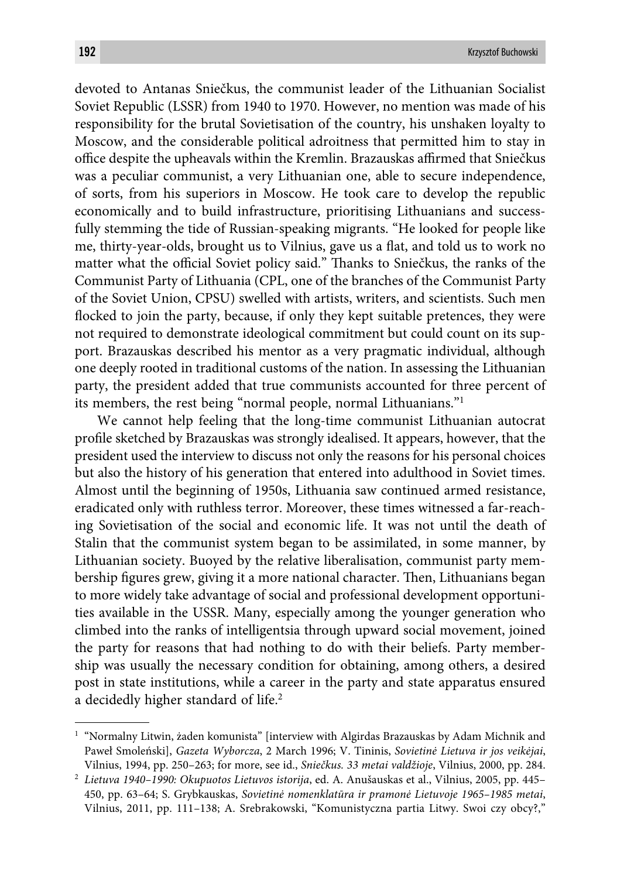devoted to Antanas Sniečkus, the communist leader of the Lithuanian Socialist Soviet Republic (LSSR) from 1940 to 1970. However, no mention was made of his responsibility for the brutal Sovietisation of the country, his unshaken loyalty to Moscow, and the considerable political adroitness that permitted him to stay in office despite the upheavals within the Kremlin. Brazauskas affirmed that Sniečkus was a peculiar communist, a very Lithuanian one, able to secure independence, of sorts, from his superiors in Moscow. He took care to develop the republic economically and to build infrastructure, prioritising Lithuanians and successfully stemming the tide of Russian-speaking migrants. "He looked for people like me, thirty-year-olds, brought us to Vilnius, gave us a flat, and told us to work no matter what the official Soviet policy said." Thanks to Sniečkus, the ranks of the Communist Party of Lithuania (CPL, one of the branches of the Communist Party of the Soviet Union, CPSU) swelled with artists, writers, and scientists. Such men flocked to join the party, because, if only they kept suitable pretences, they were not required to demonstrate ideological commitment but could count on its support. Brazauskas described his mentor as a very pragmatic individual, although one deeply rooted in traditional customs of the nation. In assessing the Lithuanian party, the president added that true communists accounted for three percent of its members, the rest being "normal people, normal Lithuanians."1

We cannot help feeling that the long-time communist Lithuanian autocrat profile sketched by Brazauskas was strongly idealised. It appears, however, that the president used the interview to discuss not only the reasons for his personal choices but also the history of his generation that entered into adulthood in Soviet times. Almost until the beginning of 1950s, Lithuania saw continued armed resistance, eradicated only with ruthless terror. Moreover, these times witnessed a far-reaching Sovietisation of the social and economic life. It was not until the death of Stalin that the communist system began to be assimilated, in some manner, by Lithuanian society. Buoyed by the relative liberalisation, communist party membership figures grew, giving it a more national character. Then, Lithuanians began to more widely take advantage of social and professional development opportunities available in the USSR. Many, especially among the younger generation who climbed into the ranks of intelligentsia through upward social movement, joined the party for reasons that had nothing to do with their beliefs. Party membership was usually the necessary condition for obtaining, among others, a desired post in state institutions, while a career in the party and state apparatus ensured a decidedly higher standard of life.<sup>2</sup>

<sup>1</sup> "Normalny Litwin, żaden komunista" [interview with Algirdas Brazauskas by Adam Michnik and Paweł Smoleński], *Gazeta Wyborcza*, 2 March 1996; V. Tininis, *Sovietinė Lietuva ir jos veikėjai*, Vilnius, 1994, pp. 250–263; for more, see id., *Sniečkus. 33 metai valdžioje*, Vilnius, 2000, pp. 284.

<sup>2</sup> *Lietuva 1940–1990: Okupuotos Lietuvos istorija*, ed. A. Anušauskas et al., Vilnius, 2005, pp. 445– 450, pp. 63–64; S. Grybkauskas, *Sovietinė nomenklatūra ir pramonė Lietuvoje 1965–1985 metai*, Vilnius, 2011, pp. 111–138; A. Srebrakowski, "Komunistyczna partia Litwy. Swoi czy obcy?,"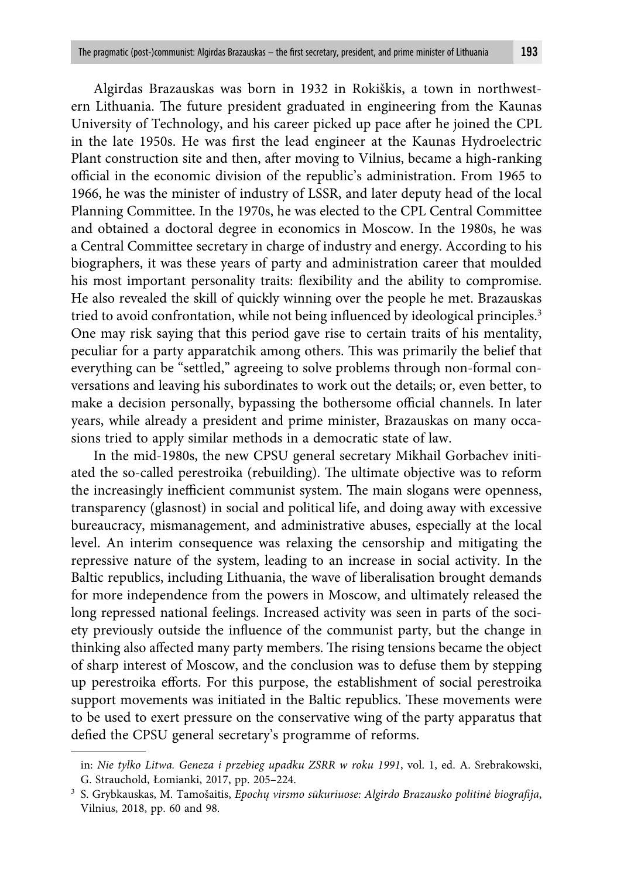Algirdas Brazauskas was born in 1932 in Rokiškis, a town in northwestern Lithuania. The future president graduated in engineering from the Kaunas University of Technology, and his career picked up pace after he joined the CPL in the late 1950s. He was first the lead engineer at the Kaunas Hydroelectric Plant construction site and then, after moving to Vilnius, became a high-ranking official in the economic division of the republic's administration. From 1965 to 1966, he was the minister of industry of LSSR, and later deputy head of the local Planning Committee. In the 1970s, he was elected to the CPL Central Committee and obtained a doctoral degree in economics in Moscow. In the 1980s, he was a Central Committee secretary in charge of industry and energy. According to his biographers, it was these years of party and administration career that moulded his most important personality traits: flexibility and the ability to compromise. He also revealed the skill of quickly winning over the people he met. Brazauskas tried to avoid confrontation, while not being influenced by ideological principles.<sup>3</sup> One may risk saying that this period gave rise to certain traits of his mentality, peculiar for a party apparatchik among others. This was primarily the belief that everything can be "settled," agreeing to solve problems through non-formal conversations and leaving his subordinates to work out the details; or, even better, to

make a decision personally, bypassing the bothersome official channels. In later years, while already a president and prime minister, Brazauskas on many occasions tried to apply similar methods in a democratic state of law.

In the mid-1980s, the new CPSU general secretary Mikhail Gorbachev initiated the so-called perestroika (rebuilding). The ultimate objective was to reform the increasingly inefficient communist system. The main slogans were openness, transparency (glasnost) in social and political life, and doing away with excessive bureaucracy, mismanagement, and administrative abuses, especially at the local level. An interim consequence was relaxing the censorship and mitigating the repressive nature of the system, leading to an increase in social activity. In the Baltic republics, including Lithuania, the wave of liberalisation brought demands for more independence from the powers in Moscow, and ultimately released the long repressed national feelings. Increased activity was seen in parts of the society previously outside the influence of the communist party, but the change in thinking also affected many party members. The rising tensions became the object of sharp interest of Moscow, and the conclusion was to defuse them by stepping up perestroika eff orts. For this purpose, the establishment of social perestroika support movements was initiated in the Baltic republics. These movements were to be used to exert pressure on the conservative wing of the party apparatus that defied the CPSU general secretary's programme of reforms.

in: *Nie tylko Litwa. Geneza i przebieg upadku ZSRR w roku 1991*, vol. 1, ed. A. Srebrakowski, G. Strauchold, Łomianki, 2017, pp. 205–224.

<sup>3</sup> S. Grybkauskas, M. Tamošaitis, *Epochų virsmo sūkuriuose: Algirdo Brazausko politinė biografija*, Vilnius, 2018, pp. 60 and 98.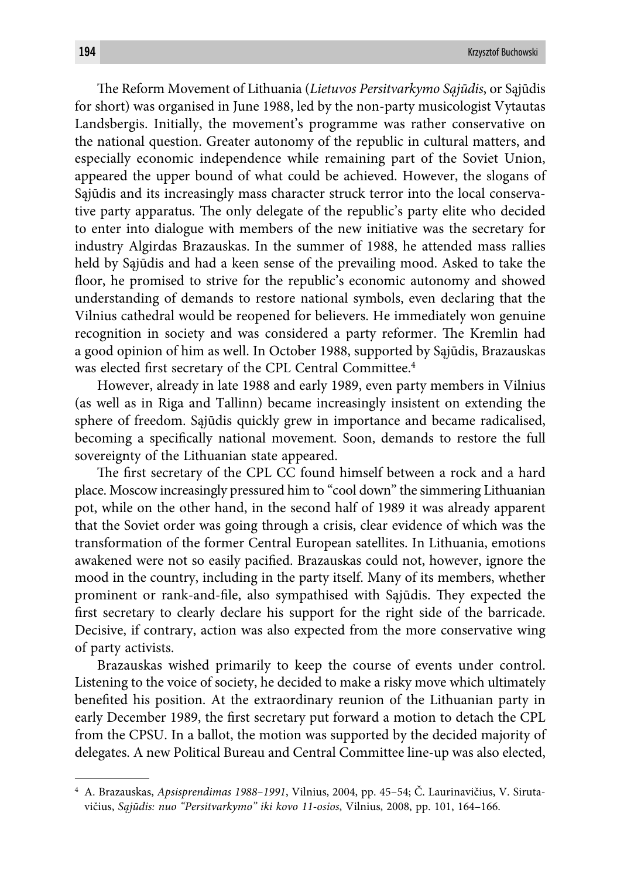Th e Reform Movement of Lithuania (*Lietuvos Persitvarkymo Sąjūdis*, or Sąjūdis for short) was organised in June 1988, led by the non-party musicologist Vytautas Landsbergis. Initially, the movement's programme was rather conservative on the national question. Greater autonomy of the republic in cultural matters, and especially economic independence while remaining part of the Soviet Union, appeared the upper bound of what could be achieved. However, the slogans of Sąjūdis and its increasingly mass character struck terror into the local conservative party apparatus. The only delegate of the republic's party elite who decided to enter into dialogue with members of the new initiative was the secretary for industry Algirdas Brazauskas. In the summer of 1988, he attended mass rallies held by Sąjūdis and had a keen sense of the prevailing mood. Asked to take the floor, he promised to strive for the republic's economic autonomy and showed understanding of demands to restore national symbols, even declaring that the Vilnius cathedral would be reopened for believers. He immediately won genuine recognition in society and was considered a party reformer. The Kremlin had a good opinion of him as well. In October 1988, supported by Sąjūdis, Brazauskas was elected first secretary of the CPL Central Committee.<sup>4</sup>

However, already in late 1988 and early 1989, even party members in Vilnius (as well as in Riga and Tallinn) became increasingly insistent on extending the sphere of freedom. Sąjūdis quickly grew in importance and became radicalised, becoming a specifically national movement. Soon, demands to restore the full sovereignty of the Lithuanian state appeared.

The first secretary of the CPL CC found himself between a rock and a hard place. Moscow increasingly pressured him to "cool down" the simmering Lithuanian pot, while on the other hand, in the second half of 1989 it was already apparent that the Soviet order was going through a crisis, clear evidence of which was the transformation of the former Central European satellites. In Lithuania, emotions awakened were not so easily pacified. Brazauskas could not, however, ignore the mood in the country, including in the party itself. Many of its members, whether prominent or rank-and-file, also sympathised with Sajūdis. They expected the first secretary to clearly declare his support for the right side of the barricade. Decisive, if contrary, action was also expected from the more conservative wing of party activists.

Brazauskas wished primarily to keep the course of events under control. Listening to the voice of society, he decided to make a risky move which ultimately benefited his position. At the extraordinary reunion of the Lithuanian party in early December 1989, the first secretary put forward a motion to detach the CPL from the CPSU. In a ballot, the motion was supported by the decided majority of delegates. A new Political Bureau and Central Committee line-up was also elected,

<sup>4</sup> A. Brazauskas, *Apsisprendimas 1988–1991*, Vilnius, 2004, pp. 45–54; Č. Laurinavičius, V. Sirutavičius, *Sąjūdis: nuo "Persitvarkymo" iki kovo 11-osios*, Vilnius, 2008, pp. 101, 164–166.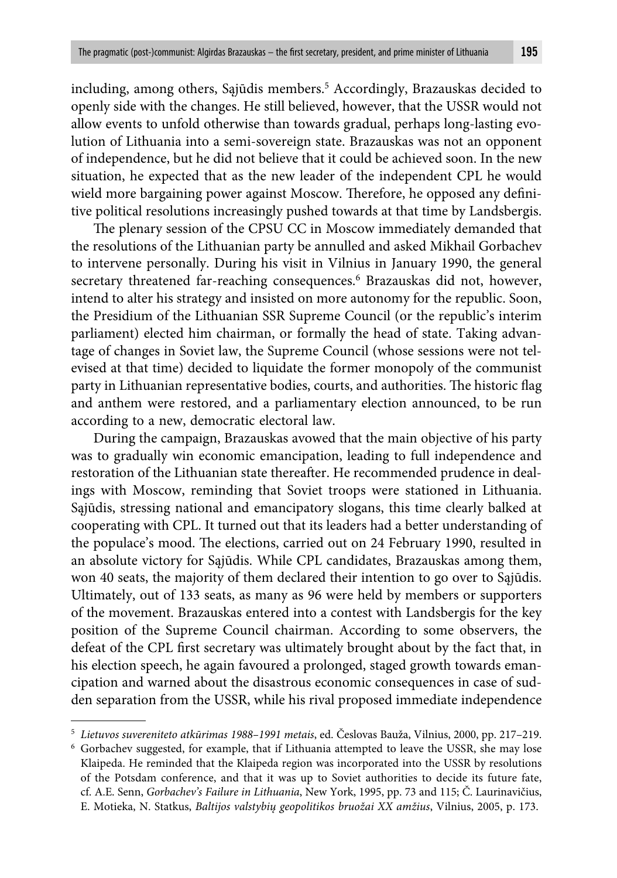including, among others, Sąjūdis members.5 Accordingly, Brazauskas decided to openly side with the changes. He still believed, however, that the USSR would not allow events to unfold otherwise than towards gradual, perhaps long-lasting evolution of Lithuania into a semi-sovereign state. Brazauskas was not an opponent of independence, but he did not believe that it could be achieved soon. In the new situation, he expected that as the new leader of the independent CPL he would wield more bargaining power against Moscow. Therefore, he opposed any definitive political resolutions increasingly pushed towards at that time by Landsbergis.

The plenary session of the CPSU CC in Moscow immediately demanded that the resolutions of the Lithuanian party be annulled and asked Mikhail Gorbachev to intervene personally. During his visit in Vilnius in January 1990, the general secretary threatened far-reaching consequences.<sup>6</sup> Brazauskas did not, however, intend to alter his strategy and insisted on more autonomy for the republic. Soon, the Presidium of the Lithuanian SSR Supreme Council (or the republic's interim parliament) elected him chairman, or formally the head of state. Taking advantage of changes in Soviet law, the Supreme Council (whose sessions were not televised at that time) decided to liquidate the former monopoly of the communist party in Lithuanian representative bodies, courts, and authorities. The historic flag and anthem were restored, and a parliamentary election announced, to be run according to a new, democratic electoral law.

During the campaign, Brazauskas avowed that the main objective of his party was to gradually win economic emancipation, leading to full independence and restoration of the Lithuanian state thereafter. He recommended prudence in dealings with Moscow, reminding that Soviet troops were stationed in Lithuania. Sąjūdis, stressing national and emancipatory slogans, this time clearly balked at cooperating with CPL. It turned out that its leaders had a better understanding of the populace's mood. The elections, carried out on 24 February 1990, resulted in an absolute victory for Sąjūdis. While CPL candidates, Brazauskas among them, won 40 seats, the majority of them declared their intention to go over to Sąjūdis. Ultimately, out of 133 seats, as many as 96 were held by members or supporters of the movement. Brazauskas entered into a contest with Landsbergis for the key position of the Supreme Council chairman. According to some observers, the defeat of the CPL first secretary was ultimately brought about by the fact that, in his election speech, he again favoured a prolonged, staged growth towards emancipation and warned about the disastrous economic consequences in case of sudden separation from the USSR, while his rival proposed immediate independence

<sup>5</sup> *Lietuvos suvereniteto atkūrimas 1988–1991 metais*, ed. Česlovas Bauža, Vilnius, 2000, pp. 217–219.

<sup>6</sup> Gorbachev suggested, for example, that if Lithuania attempted to leave the USSR, she may lose Klaipeda. He reminded that the Klaipeda region was incorporated into the USSR by resolutions of the Potsdam conference, and that it was up to Soviet authorities to decide its future fate, cf. A.E. Senn, *Gorbachev's Failure in Lithuania*, New York, 1995, pp. 73 and 115; Č. Laurinavičius, E. Motieka, N. Statkus, *Baltijos valstybių geopolitikos bruožai XX amžius*, Vilnius, 2005, p. 173.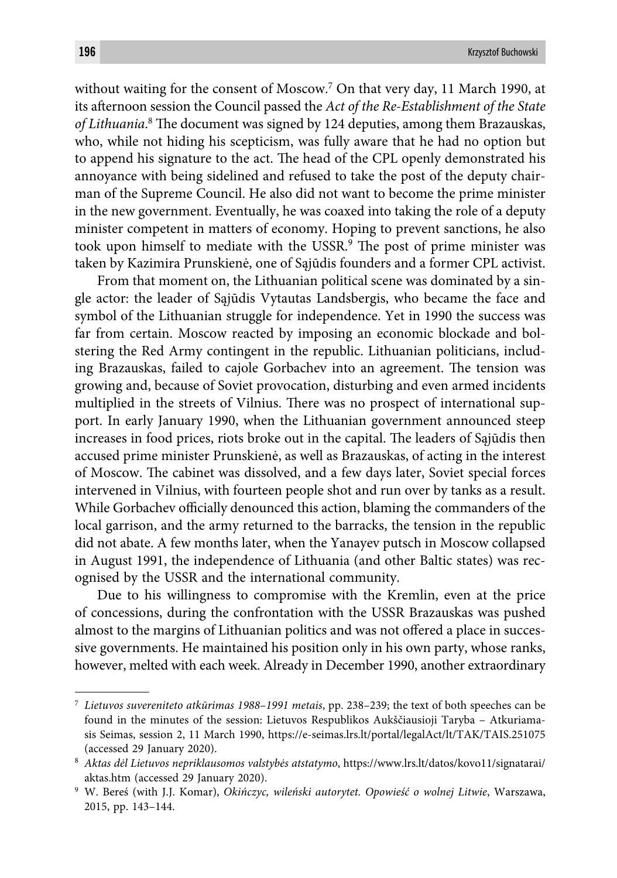without waiting for the consent of Moscow.7 On that very day, 11 March 1990, at its aft ernoon session the Council passed the *Act of the Re-Establishment of the State*  of Lithuania.<sup>8</sup> The document was signed by 124 deputies, among them Brazauskas, who, while not hiding his scepticism, was fully aware that he had no option but to append his signature to the act. The head of the CPL openly demonstrated his annoyance with being sidelined and refused to take the post of the deputy chairman of the Supreme Council. He also did not want to become the prime minister in the new government. Eventually, he was coaxed into taking the role of a deputy minister competent in matters of economy. Hoping to prevent sanctions, he also took upon himself to mediate with the USSR.<sup>9</sup> The post of prime minister was taken by Kazimira Prunskienė, one of Sąjūdis founders and a former CPL activist.

From that moment on, the Lithuanian political scene was dominated by a single actor: the leader of Sąjūdis Vytautas Landsbergis, who became the face and symbol of the Lithuanian struggle for independence. Yet in 1990 the success was far from certain. Moscow reacted by imposing an economic blockade and bolstering the Red Army contingent in the republic. Lithuanian politicians, including Brazauskas, failed to cajole Gorbachev into an agreement. The tension was growing and, because of Soviet provocation, disturbing and even armed incidents multiplied in the streets of Vilnius. There was no prospect of international support. In early January 1990, when the Lithuanian government announced steep increases in food prices, riots broke out in the capital. The leaders of Sajūdis then accused prime minister Prunskienė, as well as Brazauskas, of acting in the interest of Moscow. The cabinet was dissolved, and a few days later, Soviet special forces intervened in Vilnius, with fourteen people shot and run over by tanks as a result. While Gorbachev officially denounced this action, blaming the commanders of the local garrison, and the army returned to the barracks, the tension in the republic did not abate. A few months later, when the Yanayev putsch in Moscow collapsed in August 1991, the independence of Lithuania (and other Baltic states) was recognised by the USSR and the international community.

Due to his willingness to compromise with the Kremlin, even at the price of concessions, during the confrontation with the USSR Brazauskas was pushed almost to the margins of Lithuanian politics and was not offered a place in successive governments. He maintained his position only in his own party, whose ranks, however, melted with each week. Already in December 1990, another extraordinary

<sup>7</sup> *Lietuvos suvereniteto atkūrimas 1988–1991 metais*, pp. 238–239; the text of both speeches can be found in the minutes of the session: Lietuvos Respublikos Aukščiausioji Taryba – Atkuriamasis Seimas, session 2, 11 March 1990, https://e-seimas.lrs.lt/portal/legalAct/lt/TAK/TAIS.251075 (accessed 29 January 2020).

<sup>8</sup> *Aktas dėl Lietuvos nepriklausomos valstybės atstatymo*, https://www.lrs.lt/datos/kovo11/signatarai/ aktas.htm (accessed 29 January 2020).

<sup>9</sup> W. Bereś (with J.J. Komar), *Okińczyc, wileński autorytet. Opowieść o wolnej Litwie*, Warszawa, 2015, pp. 143–144.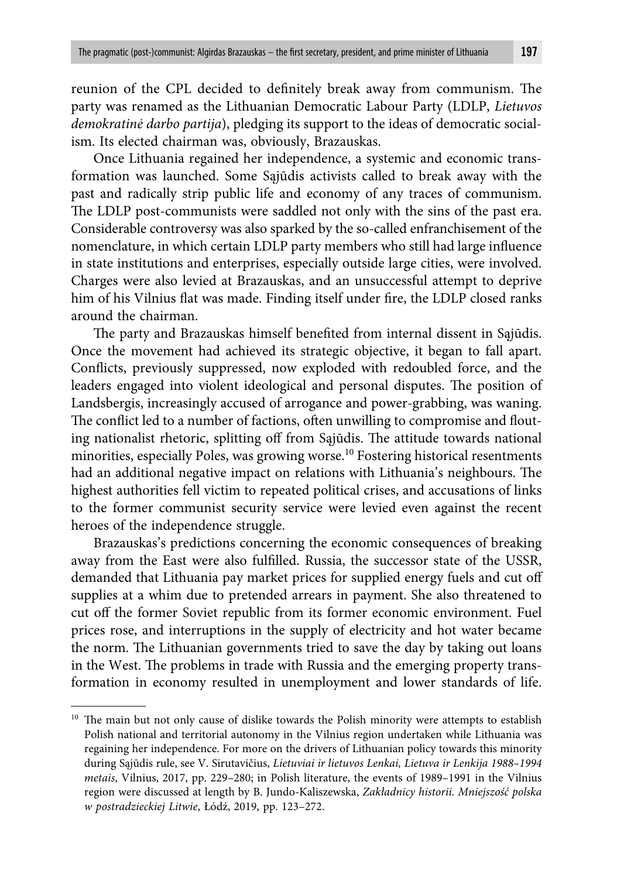reunion of the CPL decided to definitely break away from communism. The party was renamed as the Lithuanian Democratic Labour Party (LDLP, *Lietuvos demokratinė darbo partija*), pledging its support to the ideas of democratic socialism. Its elected chairman was, obviously, Brazauskas.

Once Lithuania regained her independence, a systemic and economic transformation was launched. Some Sąjūdis activists called to break away with the past and radically strip public life and economy of any traces of communism. The LDLP post-communists were saddled not only with the sins of the past era. Considerable controversy was also sparked by the so-called enfranchisement of the nomenclature, in which certain LDLP party members who still had large influence in state institutions and enterprises, especially outside large cities, were involved. Charges were also levied at Brazauskas, and an unsuccessful attempt to deprive him of his Vilnius flat was made. Finding itself under fire, the LDLP closed ranks around the chairman.

The party and Brazauskas himself benefited from internal dissent in Sąjūdis. Once the movement had achieved its strategic objective, it began to fall apart. Conflicts, previously suppressed, now exploded with redoubled force, and the leaders engaged into violent ideological and personal disputes. The position of Landsbergis, increasingly accused of arrogance and power-grabbing, was waning. The conflict led to a number of factions, often unwilling to compromise and flouting nationalist rhetoric, splitting off from Sąjūdis. The attitude towards national minorities, especially Poles, was growing worse.<sup>10</sup> Fostering historical resentments had an additional negative impact on relations with Lithuania's neighbours. The highest authorities fell victim to repeated political crises, and accusations of links to the former communist security service were levied even against the recent heroes of the independence struggle.

Brazauskas's predictions concerning the economic consequences of breaking away from the East were also fulfilled. Russia, the successor state of the USSR, demanded that Lithuania pay market prices for supplied energy fuels and cut off supplies at a whim due to pretended arrears in payment. She also threatened to cut off the former Soviet republic from its former economic environment. Fuel prices rose, and interruptions in the supply of electricity and hot water became the norm. The Lithuanian governments tried to save the day by taking out loans in the West. The problems in trade with Russia and the emerging property transformation in economy resulted in unemployment and lower standards of life.

<sup>&</sup>lt;sup>10</sup> The main but not only cause of dislike towards the Polish minority were attempts to establish Polish national and territorial autonomy in the Vilnius region undertaken while Lithuania was regaining her independence. For more on the drivers of Lithuanian policy towards this minority during Sąjūdis rule, see V. Sirutavičius, *Lietuviai ir lietuvos Lenkai, Lietuva ir Lenkija 1988–1994 metais*, Vilnius, 2017, pp. 229–280; in Polish literature, the events of 1989–1991 in the Vilnius region were discussed at length by B. Jundo-Kaliszewska, *Zakładnicy historii. Mniejszość polska w postradzieckiej Litwie*, Łódź, 2019, pp. 123–272.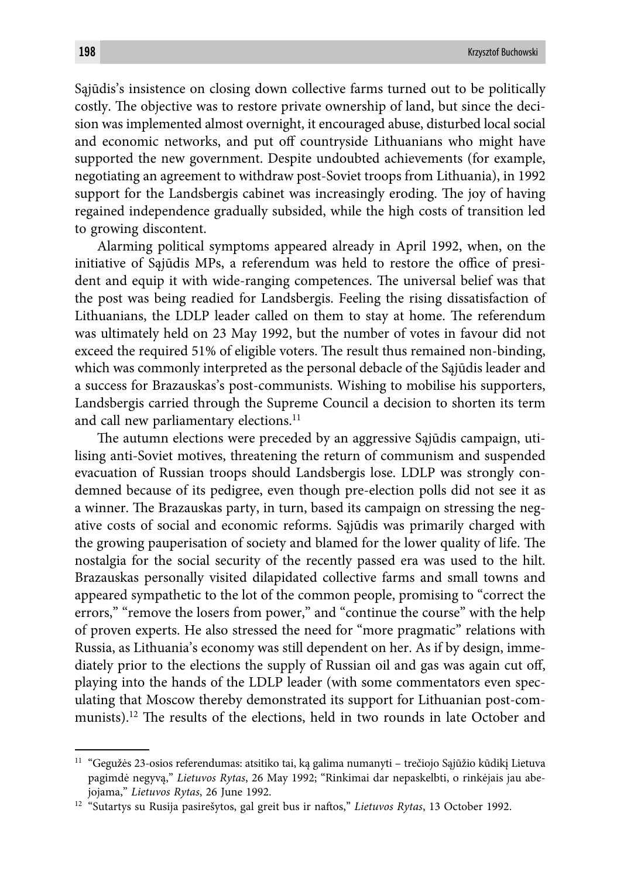Sąjūdis's insistence on closing down collective farms turned out to be politically costly. The objective was to restore private ownership of land, but since the decision was implemented almost overnight, it encouraged abuse, disturbed local social and economic networks, and put off countryside Lithuanians who might have supported the new government. Despite undoubted achievements (for example, negotiating an agreement to withdraw post-Soviet troops from Lithuania), in 1992 support for the Landsbergis cabinet was increasingly eroding. The joy of having regained independence gradually subsided, while the high costs of transition led to growing discontent.

Alarming political symptoms appeared already in April 1992, when, on the initiative of Sajūdis MPs, a referendum was held to restore the office of president and equip it with wide-ranging competences. The universal belief was that the post was being readied for Landsbergis. Feeling the rising dissatisfaction of Lithuanians, the LDLP leader called on them to stay at home. The referendum was ultimately held on 23 May 1992, but the number of votes in favour did not exceed the required 51% of eligible voters. The result thus remained non-binding, which was commonly interpreted as the personal debacle of the Sąjūdis leader and a success for Brazauskas's post-communists. Wishing to mobilise his supporters, Landsbergis carried through the Supreme Council a decision to shorten its term and call new parliamentary elections.<sup>11</sup>

The autumn elections were preceded by an aggressive Sąjūdis campaign, utilising anti-Soviet motives, threatening the return of communism and suspended evacuation of Russian troops should Landsbergis lose. LDLP was strongly condemned because of its pedigree, even though pre-election polls did not see it as a winner. The Brazauskas party, in turn, based its campaign on stressing the negative costs of social and economic reforms. Sąjūdis was primarily charged with the growing pauperisation of society and blamed for the lower quality of life. The nostalgia for the social security of the recently passed era was used to the hilt. Brazauskas personally visited dilapidated collective farms and small towns and appeared sympathetic to the lot of the common people, promising to "correct the errors," "remove the losers from power," and "continue the course" with the help of proven experts. He also stressed the need for "more pragmatic" relations with Russia, as Lithuania's economy was still dependent on her. As if by design, immediately prior to the elections the supply of Russian oil and gas was again cut off, playing into the hands of the LDLP leader (with some commentators even speculating that Moscow thereby demonstrated its support for Lithuanian post-communists).<sup>12</sup> The results of the elections, held in two rounds in late October and

<sup>11 &</sup>quot;Gegužės 23-osios referendumas: atsitiko tai, ką galima numanyti – trečiojo Sąjūžio kūdikį Lietuva pagimdė negyvą," *Lietuvos Rytas*, 26 May 1992; "Rinkimai dar nepaskelbti, o rinkėjais jau abejojama," *Lietuvos Rytas*, 26 June 1992.

<sup>&</sup>lt;sup>12</sup> "Sutartys su Rusija pasirešytos, gal greit bus ir naftos," Lietuvos Rytas, 13 October 1992.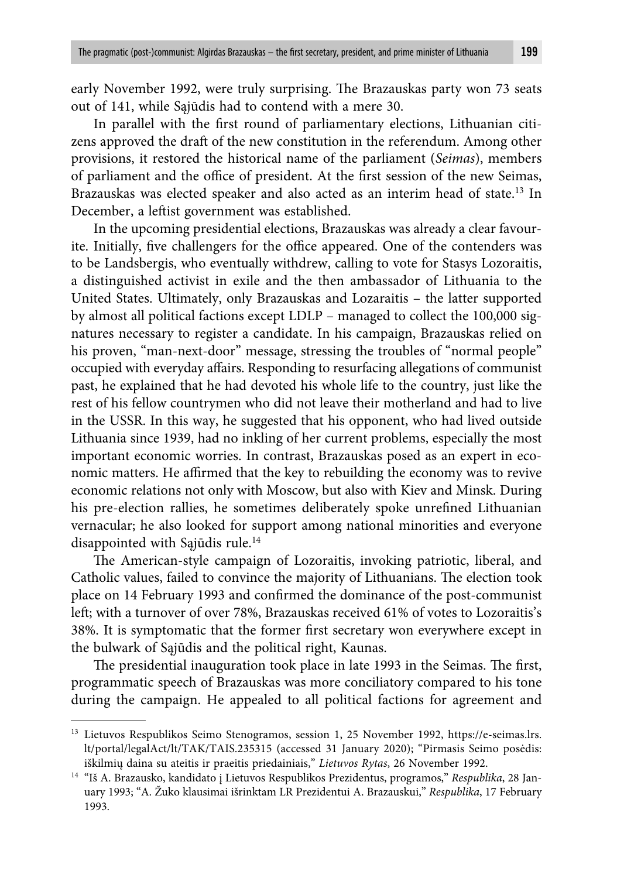early November 1992, were truly surprising. The Brazauskas party won 73 seats out of 141, while Sąjūdis had to contend with a mere 30.

In parallel with the first round of parliamentary elections, Lithuanian citizens approved the draft of the new constitution in the referendum. Among other provisions, it restored the historical name of the parliament (*Seimas*), members of parliament and the office of president. At the first session of the new Seimas, Brazauskas was elected speaker and also acted as an interim head of state.<sup>13</sup> In December, a leftist government was established.

In the upcoming presidential elections, Brazauskas was already a clear favourite. Initially, five challengers for the office appeared. One of the contenders was to be Landsbergis, who eventually withdrew, calling to vote for Stasys Lozoraitis, a distinguished activist in exile and the then ambassador of Lithuania to the United States. Ultimately, only Brazauskas and Lozaraitis – the latter supported by almost all political factions except LDLP – managed to collect the 100,000 signatures necessary to register a candidate. In his campaign, Brazauskas relied on his proven, "man-next-door" message, stressing the troubles of "normal people" occupied with everyday affairs. Responding to resurfacing allegations of communist past, he explained that he had devoted his whole life to the country, just like the rest of his fellow countrymen who did not leave their motherland and had to live in the USSR. In this way, he suggested that his opponent, who had lived outside Lithuania since 1939, had no inkling of her current problems, especially the most important economic worries. In contrast, Brazauskas posed as an expert in economic matters. He affirmed that the key to rebuilding the economy was to revive economic relations not only with Moscow, but also with Kiev and Minsk. During his pre-election rallies, he sometimes deliberately spoke unrefined Lithuanian vernacular; he also looked for support among national minorities and everyone disappointed with Sąjūdis rule.14

The American-style campaign of Lozoraitis, invoking patriotic, liberal, and Catholic values, failed to convince the majority of Lithuanians. The election took place on 14 February 1993 and confirmed the dominance of the post-communist left; with a turnover of over 78%, Brazauskas received 61% of votes to Lozoraitis's 38%. It is symptomatic that the former first secretary won everywhere except in the bulwark of Sąjūdis and the political right, Kaunas.

The presidential inauguration took place in late 1993 in the Seimas. The first, programmatic speech of Brazauskas was more conciliatory compared to his tone during the campaign. He appealed to all political factions for agreement and

<sup>&</sup>lt;sup>13</sup> Lietuvos Respublikos Seimo Stenogramos, session 1, 25 November 1992, https://e-seimas.lrs. lt/portal/legalAct/lt/TAK/TAIS.235315 (accessed 31 January 2020); "Pirmasis Seimo posėdis: iškilmių daina su ateitis ir praeitis priedainiais," *Lietuvos Rytas*, 26 November 1992.

<sup>14 &</sup>quot;Iš A. Brazausko, kandidato į Lietuvos Respublikos Prezidentus, programos," *Respublika*, 28 January 1993; "A. Žuko klausimai išrinktam LR Prezidentui A. Brazauskui," *Respublika*, 17 February 1993.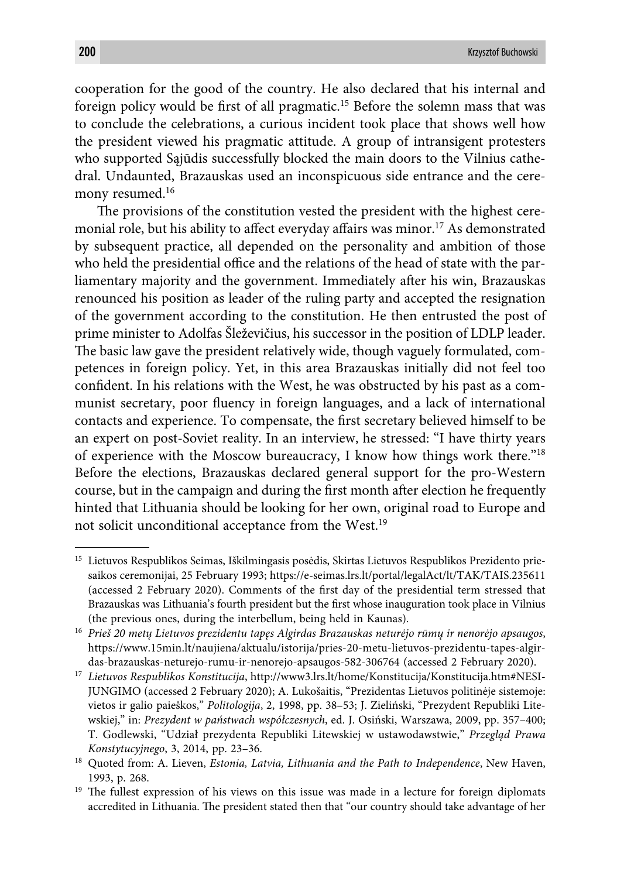cooperation for the good of the country. He also declared that his internal and foreign policy would be first of all pragmatic.<sup>15</sup> Before the solemn mass that was to conclude the celebrations, a curious incident took place that shows well how the president viewed his pragmatic attitude. A group of intransigent protesters who supported Sąjūdis successfully blocked the main doors to the Vilnius cathedral. Undaunted, Brazauskas used an inconspicuous side entrance and the ceremony resumed.<sup>16</sup>

The provisions of the constitution vested the president with the highest ceremonial role, but his ability to affect everyday affairs was minor.<sup>17</sup> As demonstrated by subsequent practice, all depended on the personality and ambition of those who held the presidential office and the relations of the head of state with the parliamentary majority and the government. Immediately after his win, Brazauskas renounced his position as leader of the ruling party and accepted the resignation of the government according to the constitution. He then entrusted the post of prime minister to Adolfas Šleževičius, his successor in the position of LDLP leader. The basic law gave the president relatively wide, though vaguely formulated, competences in foreign policy. Yet, in this area Brazauskas initially did not feel too confident. In his relations with the West, he was obstructed by his past as a communist secretary, poor fluency in foreign languages, and a lack of international contacts and experience. To compensate, the first secretary believed himself to be an expert on post-Soviet reality. In an interview, he stressed: "I have thirty years of experience with the Moscow bureaucracy, I know how things work there."18 Before the elections, Brazauskas declared general support for the pro-Western course, but in the campaign and during the first month after election he frequently hinted that Lithuania should be looking for her own, original road to Europe and not solicit unconditional acceptance from the West.19

<sup>15</sup> Lietuvos Respublikos Seimas, Iškilmingasis posėdis, Skirtas Lietuvos Respublikos Prezidento priesaikos ceremonijai, 25 February 1993; https://e-seimas.lrs.lt/portal/legalAct/lt/TAK/TAIS.235611 (accessed 2 February 2020). Comments of the first day of the presidential term stressed that Brazauskas was Lithuania's fourth president but the first whose inauguration took place in Vilnius (the previous ones, during the interbellum, being held in Kaunas).

<sup>16</sup> *Prieš 20 metų Lietuvos prezidentu tapęs Algirdas Brazauskas neturėjo rūmų ir nenorėjo apsaugos*, https://www.15min.lt/naujiena/aktualu/istorija/pries-20-metu-lietuvos-prezidentu-tapes-algirdas-brazauskas-neturejo-rumu-ir-nenorejo-apsaugos-582-306764 (accessed 2 February 2020).

<sup>17</sup> *Lietuvos Respublikos Konstitucija*, http://www3.lrs.lt/home/Konstitucija/Konstitucija.htm#NESI-JUNGIMO (accessed 2 February 2020); A. Lukošaitis, "Prezidentas Lietuvos politinėje sistemoje: vietos ir galio paieškos," *Politologija*, 2, 1998, pp. 38–53; J. Zieliński, "Prezydent Republiki Litewskiej," in: *Prezydent w państwach współczesnych*, ed. J. Osiński, Warszawa, 2009, pp. 357–400; T. Godlewski, "Udział prezydenta Republiki Litewskiej w ustawodawstwie," *Przegląd Prawa Konstytucyjnego*, 3, 2014, pp. 23–36.

<sup>18</sup> Quoted from: A. Lieven, *Estonia, Latvia, Lithuania and the Path to Independence*, New Haven, 1993, p. 268.

<sup>&</sup>lt;sup>19</sup> The fullest expression of his views on this issue was made in a lecture for foreign diplomats accredited in Lithuania. The president stated then that "our country should take advantage of her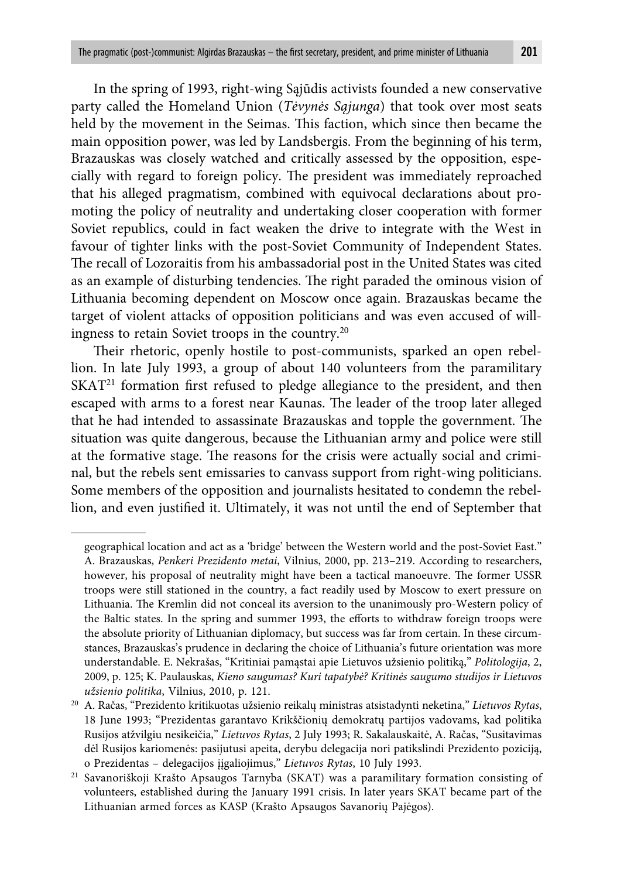In the spring of 1993, right-wing Sąjūdis activists founded a new conservative party called the Homeland Union (*Tėvynės Sąjunga*) that took over most seats held by the movement in the Seimas. This faction, which since then became the main opposition power, was led by Landsbergis. From the beginning of his term, Brazauskas was closely watched and critically assessed by the opposition, especially with regard to foreign policy. The president was immediately reproached that his alleged pragmatism, combined with equivocal declarations about promoting the policy of neutrality and undertaking closer cooperation with former Soviet republics, could in fact weaken the drive to integrate with the West in favour of tighter links with the post-Soviet Community of Independent States. The recall of Lozoraitis from his ambassadorial post in the United States was cited as an example of disturbing tendencies. The right paraded the ominous vision of Lithuania becoming dependent on Moscow once again. Brazauskas became the target of violent attacks of opposition politicians and was even accused of willingness to retain Soviet troops in the country.20

Their rhetoric, openly hostile to post-communists, sparked an open rebellion. In late July 1993, a group of about 140 volunteers from the paramilitary  $SKAT<sup>21</sup>$  formation first refused to pledge allegiance to the president, and then escaped with arms to a forest near Kaunas. The leader of the troop later alleged that he had intended to assassinate Brazauskas and topple the government. The situation was quite dangerous, because the Lithuanian army and police were still at the formative stage. The reasons for the crisis were actually social and criminal, but the rebels sent emissaries to canvass support from right-wing politicians. Some members of the opposition and journalists hesitated to condemn the rebellion, and even justified it. Ultimately, it was not until the end of September that

geographical location and act as a 'bridge' between the Western world and the post-Soviet East." A. Brazauskas, *Penkeri Prezidento metai*, Vilnius, 2000, pp. 213–219. According to researchers, however, his proposal of neutrality might have been a tactical manoeuvre. The former USSR troops were still stationed in the country, a fact readily used by Moscow to exert pressure on Lithuania. The Kremlin did not conceal its aversion to the unanimously pro-Western policy of the Baltic states. In the spring and summer 1993, the efforts to withdraw foreign troops were the absolute priority of Lithuanian diplomacy, but success was far from certain. In these circumstances, Brazauskas's prudence in declaring the choice of Lithuania's future orientation was more understandable. E. Nekrašas, "Kritiniai pamąstai apie Lietuvos užsienio politiką," *Politologija*, 2, 2009, p. 125; K. Paulauskas, *Kieno saugumas? Kuri tapatybė? Kritinės saugumo studijos ir Lietuvos užsienio politika*, Vilnius, 2010, p. 121.

<sup>20</sup> A. Račas, "Prezidento kritikuotas užsienio reikalų ministras atsistadynti neketina," *Lietuvos Rytas*, 18 June 1993; "Prezidentas garantavo Krikščionių demokratų partijos vadovams, kad politika Rusijos atžvilgiu nesikeičia," *Lietuvos Rytas*, 2 July 1993; R. Sakalauskaitė, A. Račas, "Susitavimas dėl Rusijos kariomenės: pasijutusi apeita, derybu delegacija nori patikslindi Prezidento poziciją, o Prezidentas – delegacijos įįgaliojimus," *Lietuvos Rytas*, 10 July 1993.

<sup>21</sup> Savanoriškoji Krašto Apsaugos Tarnyba (SKAT) was a paramilitary formation consisting of volunteers, established during the January 1991 crisis. In later years SKAT became part of the Lithuanian armed forces as KASP (Krašto Apsaugos Savanorių Pajėgos).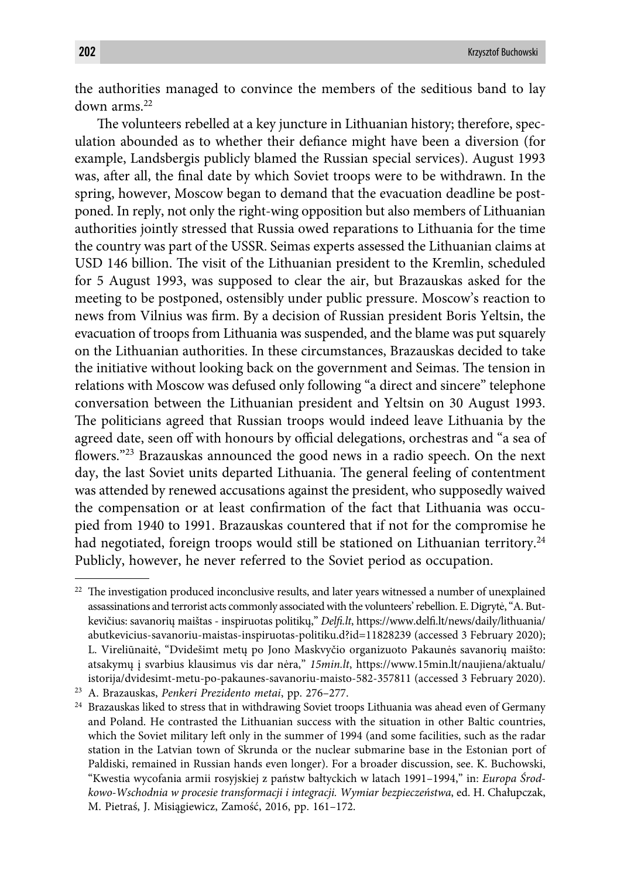the authorities managed to convince the members of the seditious band to lay down arms.22

The volunteers rebelled at a key juncture in Lithuanian history; therefore, speculation abounded as to whether their defiance might have been a diversion (for example, Landsbergis publicly blamed the Russian special services). August 1993 was, after all, the final date by which Soviet troops were to be withdrawn. In the spring, however, Moscow began to demand that the evacuation deadline be postponed. In reply, not only the right-wing opposition but also members of Lithuanian authorities jointly stressed that Russia owed reparations to Lithuania for the time the country was part of the USSR. Seimas experts assessed the Lithuanian claims at USD 146 billion. The visit of the Lithuanian president to the Kremlin, scheduled for 5 August 1993, was supposed to clear the air, but Brazauskas asked for the meeting to be postponed, ostensibly under public pressure. Moscow's reaction to news from Vilnius was firm. By a decision of Russian president Boris Yeltsin, the evacuation of troops from Lithuania was suspended, and the blame was put squarely on the Lithuanian authorities. In these circumstances, Brazauskas decided to take the initiative without looking back on the government and Seimas. The tension in relations with Moscow was defused only following "a direct and sincere" telephone conversation between the Lithuanian president and Yeltsin on 30 August 1993. The politicians agreed that Russian troops would indeed leave Lithuania by the agreed date, seen off with honours by official delegations, orchestras and "a sea of flowers."<sup>23</sup> Brazauskas announced the good news in a radio speech. On the next day, the last Soviet units departed Lithuania. The general feeling of contentment was attended by renewed accusations against the president, who supposedly waived the compensation or at least confirmation of the fact that Lithuania was occupied from 1940 to 1991. Brazauskas countered that if not for the compromise he had negotiated, foreign troops would still be stationed on Lithuanian territory.<sup>24</sup> Publicly, however, he never referred to the Soviet period as occupation.

 $22$  The investigation produced inconclusive results, and later years witnessed a number of unexplained assassinations and terrorist acts commonly associated with the volunteers' rebellion. E. Digrytė, "A. Butkevičius: savanorių maištas - inspiruotas politikų," *Delfi .lt*, https://www.delfi .lt/news/daily/lithuania/ abutkevicius-savanoriu-maistas-inspiruotas-politiku.d?id=11828239 (accessed 3 February 2020); L. Vireliūnaitė, "Dvidešimt metų po Jono Maskvyčio organizuoto Pakaunės savanorių maišto: atsakymų į svarbius klausimus vis dar nėra," *15min.lt*, https://www.15min.lt/naujiena/aktualu/ istorija/dvidesimt-metu-po-pakaunes-savanoriu-maisto-582-357811 (accessed 3 February 2020).

<sup>23</sup> A. Brazauskas, *Penkeri Prezidento metai*, pp. 276–277.

<sup>&</sup>lt;sup>24</sup> Brazauskas liked to stress that in withdrawing Soviet troops Lithuania was ahead even of Germany and Poland. He contrasted the Lithuanian success with the situation in other Baltic countries, which the Soviet military left only in the summer of 1994 (and some facilities, such as the radar station in the Latvian town of Skrunda or the nuclear submarine base in the Estonian port of Paldiski, remained in Russian hands even longer). For a broader discussion, see. K. Buchowski, "Kwestia wycofania armii rosyjskiej z państw bałtyckich w latach 1991–1994," in: *Europa Środkowo-Wschodnia w procesie transformacji i integracji. Wymiar bezpieczeństwa*, ed. H. Chałupczak, M. Pietraś, J. Misiągiewicz, Zamość, 2016, pp. 161–172.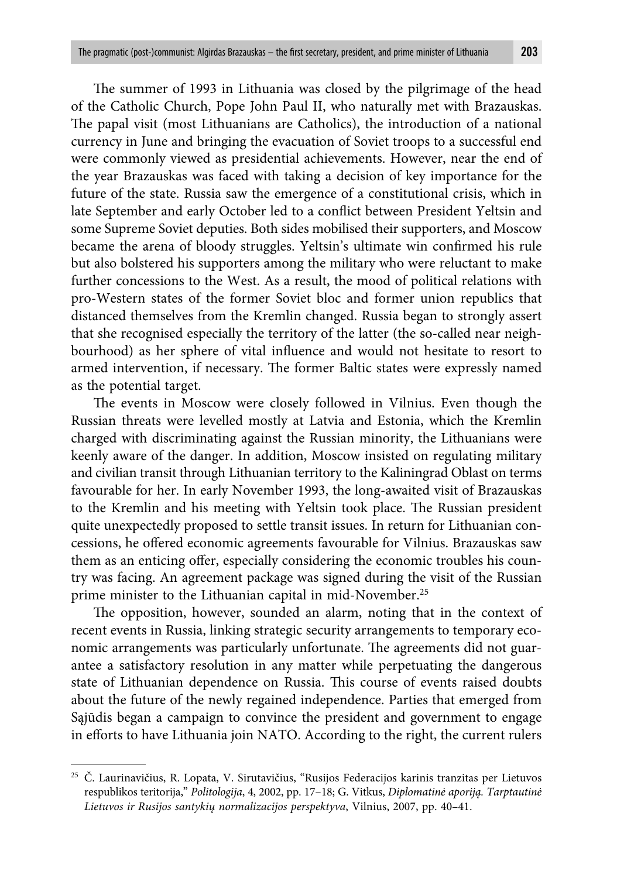The summer of 1993 in Lithuania was closed by the pilgrimage of the head of the Catholic Church, Pope John Paul II, who naturally met with Brazauskas. The papal visit (most Lithuanians are Catholics), the introduction of a national currency in June and bringing the evacuation of Soviet troops to a successful end were commonly viewed as presidential achievements. However, near the end of the year Brazauskas was faced with taking a decision of key importance for the future of the state. Russia saw the emergence of a constitutional crisis, which in late September and early October led to a conflict between President Yeltsin and some Supreme Soviet deputies. Both sides mobilised their supporters, and Moscow became the arena of bloody struggles. Yeltsin's ultimate win confirmed his rule but also bolstered his supporters among the military who were reluctant to make further concessions to the West. As a result, the mood of political relations with pro-Western states of the former Soviet bloc and former union republics that distanced themselves from the Kremlin changed. Russia began to strongly assert that she recognised especially the territory of the latter (the so-called near neighbourhood) as her sphere of vital influence and would not hesitate to resort to armed intervention, if necessary. The former Baltic states were expressly named as the potential target.

The events in Moscow were closely followed in Vilnius. Even though the Russian threats were levelled mostly at Latvia and Estonia, which the Kremlin charged with discriminating against the Russian minority, the Lithuanians were keenly aware of the danger. In addition, Moscow insisted on regulating military and civilian transit through Lithuanian territory to the Kaliningrad Oblast on terms favourable for her. In early November 1993, the long-awaited visit of Brazauskas to the Kremlin and his meeting with Yeltsin took place. The Russian president quite unexpectedly proposed to settle transit issues. In return for Lithuanian concessions, he offered economic agreements favourable for Vilnius. Brazauskas saw them as an enticing offer, especially considering the economic troubles his country was facing. An agreement package was signed during the visit of the Russian prime minister to the Lithuanian capital in mid-November.<sup>25</sup>

The opposition, however, sounded an alarm, noting that in the context of recent events in Russia, linking strategic security arrangements to temporary economic arrangements was particularly unfortunate. The agreements did not guarantee a satisfactory resolution in any matter while perpetuating the dangerous state of Lithuanian dependence on Russia. This course of events raised doubts about the future of the newly regained independence. Parties that emerged from Sąjūdis began a campaign to convince the president and government to engage in efforts to have Lithuania join NATO. According to the right, the current rulers

<sup>&</sup>lt;sup>25</sup> Č. Laurinavičius, R. Lopata, V. Sirutavičius, "Rusijos Federacijos karinis tranzitas per Lietuvos respublikos teritorija," *Politologija*, 4, 2002, pp. 17–18; G. Vitkus, *Diplomatinė aporiją. Tarptautinė Lietuvos ir Rusijos santykių normalizacijos perspektyva*, Vilnius, 2007, pp. 40–41.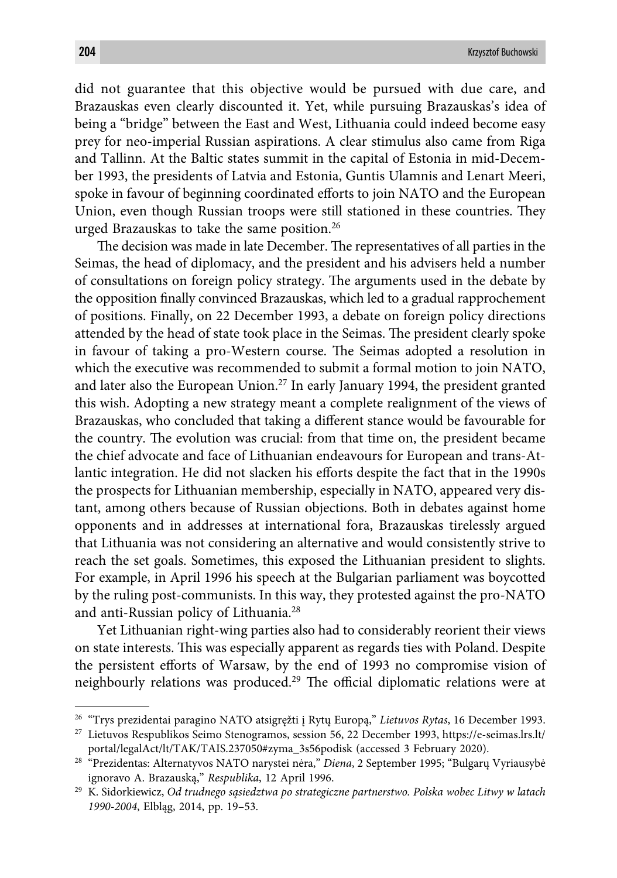did not guarantee that this objective would be pursued with due care, and Brazauskas even clearly discounted it. Yet, while pursuing Brazauskas's idea of being a "bridge" between the East and West, Lithuania could indeed become easy prey for neo-imperial Russian aspirations. A clear stimulus also came from Riga and Tallinn. At the Baltic states summit in the capital of Estonia in mid-December 1993, the presidents of Latvia and Estonia, Guntis Ulamnis and Lenart Meeri, spoke in favour of beginning coordinated efforts to join NATO and the European Union, even though Russian troops were still stationed in these countries. They urged Brazauskas to take the same position.26

The decision was made in late December. The representatives of all parties in the Seimas, the head of diplomacy, and the president and his advisers held a number of consultations on foreign policy strategy. The arguments used in the debate by the opposition finally convinced Brazauskas, which led to a gradual rapprochement of positions. Finally, on 22 December 1993, a debate on foreign policy directions attended by the head of state took place in the Seimas. The president clearly spoke in favour of taking a pro-Western course. The Seimas adopted a resolution in which the executive was recommended to submit a formal motion to join NATO, and later also the European Union.27 In early January 1994, the president granted this wish. Adopting a new strategy meant a complete realignment of the views of Brazauskas, who concluded that taking a different stance would be favourable for the country. The evolution was crucial: from that time on, the president became the chief advocate and face of Lithuanian endeavours for European and trans-Atlantic integration. He did not slacken his efforts despite the fact that in the 1990s the prospects for Lithuanian membership, especially in NATO, appeared very distant, among others because of Russian objections. Both in debates against home opponents and in addresses at international fora, Brazauskas tirelessly argued that Lithuania was not considering an alternative and would consistently strive to reach the set goals. Sometimes, this exposed the Lithuanian president to slights. For example, in April 1996 his speech at the Bulgarian parliament was boycotted by the ruling post-communists. In this way, they protested against the pro-NATO and anti-Russian policy of Lithuania.28

Yet Lithuanian right-wing parties also had to considerably reorient their views on state interests. This was especially apparent as regards ties with Poland. Despite the persistent efforts of Warsaw, by the end of 1993 no compromise vision of neighbourly relations was produced.<sup>29</sup> The official diplomatic relations were at

<sup>26 &</sup>quot;Trys prezidentai paragino NATO atsigręžti į Rytų Europą," *Lietuvos Rytas*, 16 December 1993.

<sup>27</sup> Lietuvos Respublikos Seimo Stenogramos, session 56, 22 December 1993, https://e-seimas.lrs.lt/ portal/legalAct/lt/TAK/TAIS.237050#zyma\_3s56podisk (accessed 3 February 2020).

<sup>28 &</sup>quot;Prezidentas: Alternatyvos NATO narystei nėra," *Diena*, 2 September 1995; "Bulgarų Vyriausybė ignoravo A. Brazauską," *Respublika*, 12 April 1996.

<sup>29</sup> K. Sidorkiewicz, *Od trudnego sąsiedztwa po strategiczne partnerstwo. Polska wobec Litwy w latach 1990-2004*, Elbląg, 2014, pp. 19–53.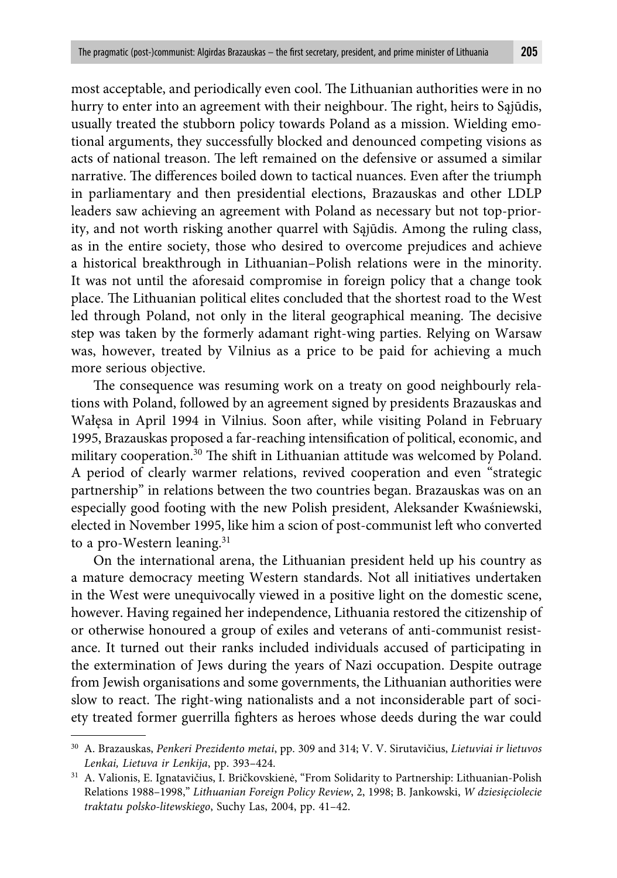most acceptable, and periodically even cool. The Lithuanian authorities were in no hurry to enter into an agreement with their neighbour. The right, heirs to Sajūdis, usually treated the stubborn policy towards Poland as a mission. Wielding emotional arguments, they successfully blocked and denounced competing visions as acts of national treason. The left remained on the defensive or assumed a similar narrative. The differences boiled down to tactical nuances. Even after the triumph in parliamentary and then presidential elections, Brazauskas and other LDLP leaders saw achieving an agreement with Poland as necessary but not top-priority, and not worth risking another quarrel with Sąjūdis. Among the ruling class,

as in the entire society, those who desired to overcome prejudices and achieve a historical breakthrough in Lithuanian–Polish relations were in the minority. It was not until the aforesaid compromise in foreign policy that a change took place. The Lithuanian political elites concluded that the shortest road to the West led through Poland, not only in the literal geographical meaning. The decisive step was taken by the formerly adamant right-wing parties. Relying on Warsaw was, however, treated by Vilnius as a price to be paid for achieving a much more serious objective.

The consequence was resuming work on a treaty on good neighbourly relations with Poland, followed by an agreement signed by presidents Brazauskas and Wałęsa in April 1994 in Vilnius. Soon after, while visiting Poland in February 1995, Brazauskas proposed a far-reaching intensification of political, economic, and military cooperation.<sup>30</sup> The shift in Lithuanian attitude was welcomed by Poland. A period of clearly warmer relations, revived cooperation and even "strategic partnership" in relations between the two countries began. Brazauskas was on an especially good footing with the new Polish president, Aleksander Kwaśniewski, elected in November 1995, like him a scion of post-communist left who converted to a pro-Western leaning.<sup>31</sup>

On the international arena, the Lithuanian president held up his country as a mature democracy meeting Western standards. Not all initiatives undertaken in the West were unequivocally viewed in a positive light on the domestic scene, however. Having regained her independence, Lithuania restored the citizenship of or otherwise honoured a group of exiles and veterans of anti-communist resistance. It turned out their ranks included individuals accused of participating in the extermination of Jews during the years of Nazi occupation. Despite outrage from Jewish organisations and some governments, the Lithuanian authorities were slow to react. The right-wing nationalists and a not inconsiderable part of society treated former guerrilla fighters as heroes whose deeds during the war could

<sup>30</sup> A. Brazauskas, *Penkeri Prezidento metai*, pp. 309 and 314; V. V. Sirutavičius, *Lietuviai ir lietuvos Lenkai, Lietuva ir Lenkija*, pp. 393–424.

<sup>31</sup> A. Valionis, E. Ignatavičius, I. Bričkovskienė, "From Solidarity to Partnership: Lithuanian-Polish Relations 1988–1998," *Lithuanian Foreign Policy Review*, 2, 1998; B. Jankowski, *W dziesięciolecie traktatu polsko-litewskiego*, Suchy Las, 2004, pp. 41–42.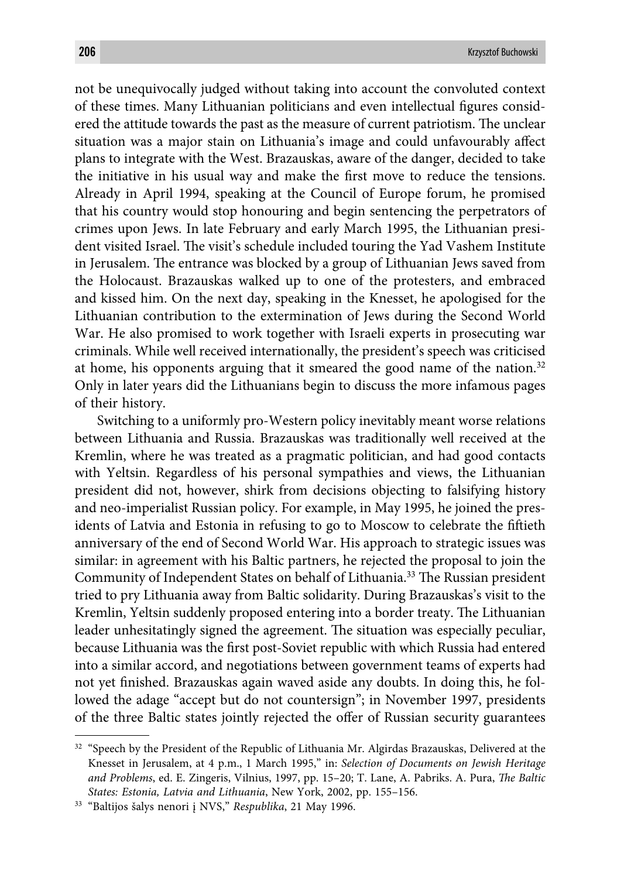not be unequivocally judged without taking into account the convoluted context of these times. Many Lithuanian politicians and even intellectual figures considered the attitude towards the past as the measure of current patriotism. The unclear situation was a major stain on Lithuania's image and could unfavourably affect plans to integrate with the West. Brazauskas, aware of the danger, decided to take the initiative in his usual way and make the first move to reduce the tensions. Already in April 1994, speaking at the Council of Europe forum, he promised that his country would stop honouring and begin sentencing the perpetrators of crimes upon Jews. In late February and early March 1995, the Lithuanian president visited Israel. The visit's schedule included touring the Yad Vashem Institute in Jerusalem. The entrance was blocked by a group of Lithuanian Jews saved from the Holocaust. Brazauskas walked up to one of the protesters, and embraced and kissed him. On the next day, speaking in the Knesset, he apologised for the Lithuanian contribution to the extermination of Jews during the Second World War. He also promised to work together with Israeli experts in prosecuting war criminals. While well received internationally, the president's speech was criticised at home, his opponents arguing that it smeared the good name of the nation. $32$ Only in later years did the Lithuanians begin to discuss the more infamous pages of their history.

Switching to a uniformly pro-Western policy inevitably meant worse relations between Lithuania and Russia. Brazauskas was traditionally well received at the Kremlin, where he was treated as a pragmatic politician, and had good contacts with Yeltsin. Regardless of his personal sympathies and views, the Lithuanian president did not, however, shirk from decisions objecting to falsifying history and neo-imperialist Russian policy. For example, in May 1995, he joined the presidents of Latvia and Estonia in refusing to go to Moscow to celebrate the fiftieth anniversary of the end of Second World War. His approach to strategic issues was similar: in agreement with his Baltic partners, he rejected the proposal to join the Community of Independent States on behalf of Lithuania.<sup>33</sup> The Russian president tried to pry Lithuania away from Baltic solidarity. During Brazauskas's visit to the Kremlin, Yeltsin suddenly proposed entering into a border treaty. The Lithuanian leader unhesitatingly signed the agreement. The situation was especially peculiar, because Lithuania was the first post-Soviet republic with which Russia had entered into a similar accord, and negotiations between government teams of experts had not yet finished. Brazauskas again waved aside any doubts. In doing this, he followed the adage "accept but do not countersign"; in November 1997, presidents of the three Baltic states jointly rejected the offer of Russian security guarantees

<sup>&</sup>lt;sup>32</sup> "Speech by the President of the Republic of Lithuania Mr. Algirdas Brazauskas, Delivered at the Knesset in Jerusalem, at 4 p.m., 1 March 1995," in: *Selection of Documents on Jewish Heritage*  and Problems, ed. E. Zingeris, Vilnius, 1997, pp. 15–20; T. Lane, A. Pabriks. A. Pura, *The Baltic States: Estonia, Latvia and Lithuania*, New York, 2002, pp. 155–156.

<sup>33 &</sup>quot;Baltijos šalys nenori į NVS," *Respublika*, 21 May 1996.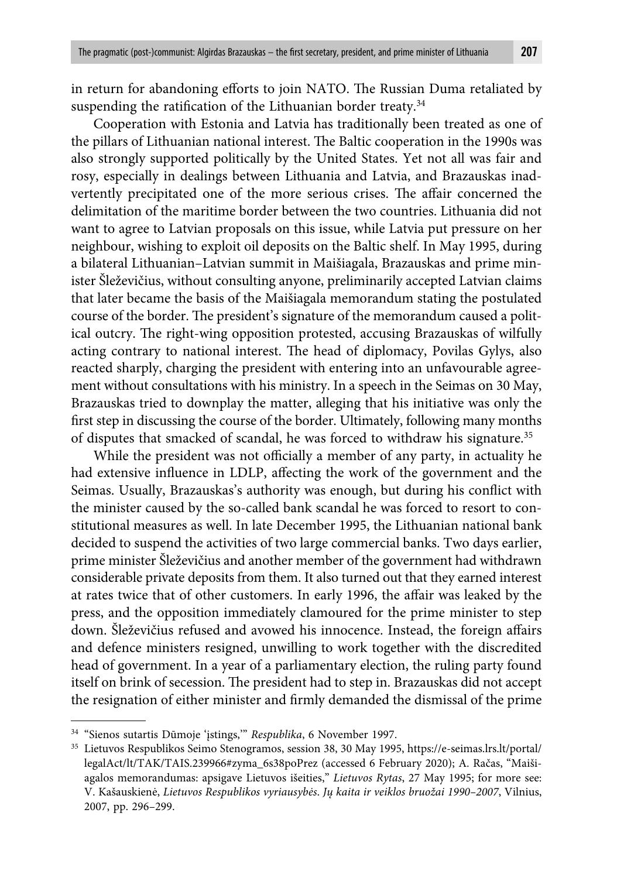in return for abandoning efforts to join NATO. The Russian Duma retaliated by suspending the ratification of the Lithuanian border treaty. $34$ 

Cooperation with Estonia and Latvia has traditionally been treated as one of the pillars of Lithuanian national interest. The Baltic cooperation in the 1990s was also strongly supported politically by the United States. Yet not all was fair and rosy, especially in dealings between Lithuania and Latvia, and Brazauskas inadvertently precipitated one of the more serious crises. The affair concerned the delimitation of the maritime border between the two countries. Lithuania did not want to agree to Latvian proposals on this issue, while Latvia put pressure on her neighbour, wishing to exploit oil deposits on the Baltic shelf. In May 1995, during a bilateral Lithuanian–Latvian summit in Maišiagala, Brazauskas and prime minister Šleževičius, without consulting anyone, preliminarily accepted Latvian claims that later became the basis of the Maišiagala memorandum stating the postulated course of the border. The president's signature of the memorandum caused a political outcry. The right-wing opposition protested, accusing Brazauskas of wilfully acting contrary to national interest. The head of diplomacy, Povilas Gylys, also reacted sharply, charging the president with entering into an unfavourable agreement without consultations with his ministry. In a speech in the Seimas on 30 May, Brazauskas tried to downplay the matter, alleging that his initiative was only the first step in discussing the course of the border. Ultimately, following many months of disputes that smacked of scandal, he was forced to withdraw his signature.<sup>35</sup>

While the president was not officially a member of any party, in actuality he had extensive influence in LDLP, affecting the work of the government and the Seimas. Usually, Brazauskas's authority was enough, but during his conflict with the minister caused by the so-called bank scandal he was forced to resort to constitutional measures as well. In late December 1995, the Lithuanian national bank decided to suspend the activities of two large commercial banks. Two days earlier, prime minister Šleževičius and another member of the government had withdrawn considerable private deposits from them. It also turned out that they earned interest at rates twice that of other customers. In early 1996, the affair was leaked by the press, and the opposition immediately clamoured for the prime minister to step down. Šleževičius refused and avowed his innocence. Instead, the foreign affairs and defence ministers resigned, unwilling to work together with the discredited head of government. In a year of a parliamentary election, the ruling party found itself on brink of secession. The president had to step in. Brazauskas did not accept the resignation of either minister and firmly demanded the dismissal of the prime

<sup>34 &</sup>quot;Sienos sutartis Dūmoje 'įstings,'" *Respublika*, 6 November 1997.

<sup>35</sup> Lietuvos Respublikos Seimo Stenogramos, session 38, 30 May 1995, https://e-seimas.lrs.lt/portal/ legalAct/lt/TAK/TAIS.239966#zyma\_6s38poPrez (accessed 6 February 2020); A. Račas, "Maišiagalos memorandumas: apsigave Lietuvos išeities," *Lietuvos Rytas*, 27 May 1995; for more see: V. Kašauskienė, *Lietuvos Respublikos vyriausybės*. *Jų kaita ir veiklos bruožai 1990–2007*, Vilnius, 2007, pp. 296–299.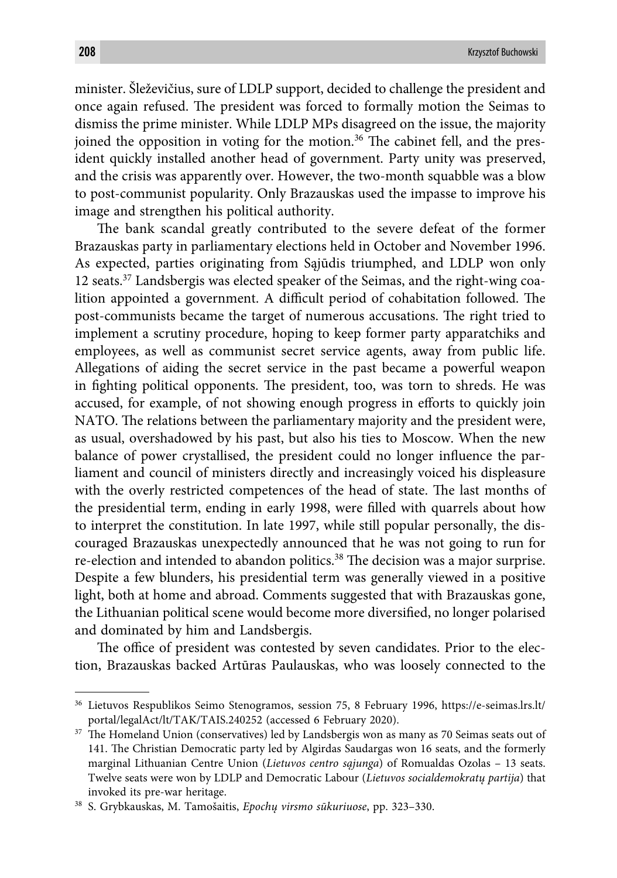minister. Šleževičius, sure of LDLP support, decided to challenge the president and once again refused. The president was forced to formally motion the Seimas to dismiss the prime minister. While LDLP MPs disagreed on the issue, the majority joined the opposition in voting for the motion.<sup>36</sup> The cabinet fell, and the president quickly installed another head of government. Party unity was preserved, and the crisis was apparently over. However, the two-month squabble was a blow to post-communist popularity. Only Brazauskas used the impasse to improve his image and strengthen his political authority.

The bank scandal greatly contributed to the severe defeat of the former Brazauskas party in parliamentary elections held in October and November 1996. As expected, parties originating from Sąjūdis triumphed, and LDLP won only 12 seats.37 Landsbergis was elected speaker of the Seimas, and the right-wing coalition appointed a government. A difficult period of cohabitation followed. The post-communists became the target of numerous accusations. The right tried to implement a scrutiny procedure, hoping to keep former party apparatchiks and employees, as well as communist secret service agents, away from public life. Allegations of aiding the secret service in the past became a powerful weapon in fighting political opponents. The president, too, was torn to shreds. He was accused, for example, of not showing enough progress in efforts to quickly join NATO. The relations between the parliamentary majority and the president were, as usual, overshadowed by his past, but also his ties to Moscow. When the new balance of power crystallised, the president could no longer influence the parliament and council of ministers directly and increasingly voiced his displeasure with the overly restricted competences of the head of state. The last months of the presidential term, ending in early 1998, were filled with quarrels about how to interpret the constitution. In late 1997, while still popular personally, the discouraged Brazauskas unexpectedly announced that he was not going to run for re-election and intended to abandon politics.<sup>38</sup> The decision was a major surprise. Despite a few blunders, his presidential term was generally viewed in a positive light, both at home and abroad. Comments suggested that with Brazauskas gone, the Lithuanian political scene would become more diversified, no longer polarised and dominated by him and Landsbergis.

The office of president was contested by seven candidates. Prior to the election, Brazauskas backed Artūras Paulauskas, who was loosely connected to the

<sup>36</sup> Lietuvos Respublikos Seimo Stenogramos, session 75, 8 February 1996, https://e-seimas.lrs.lt/ portal/legalAct/lt/TAK/TAIS.240252 (accessed 6 February 2020).

 $37$  The Homeland Union (conservatives) led by Landsbergis won as many as 70 Seimas seats out of 141. The Christian Democratic party led by Algirdas Saudargas won 16 seats, and the formerly marginal Lithuanian Centre Union (*Lietuvos centro sąjunga*) of Romualdas Ozolas – 13 seats. Twelve seats were won by LDLP and Democratic Labour (*Lietuvos socialdemokratų partija*) that invoked its pre-war heritage.

<sup>38</sup> S. Grybkauskas, M. Tamošaitis, *Epochų virsmo sūkuriuose*, pp. 323–330.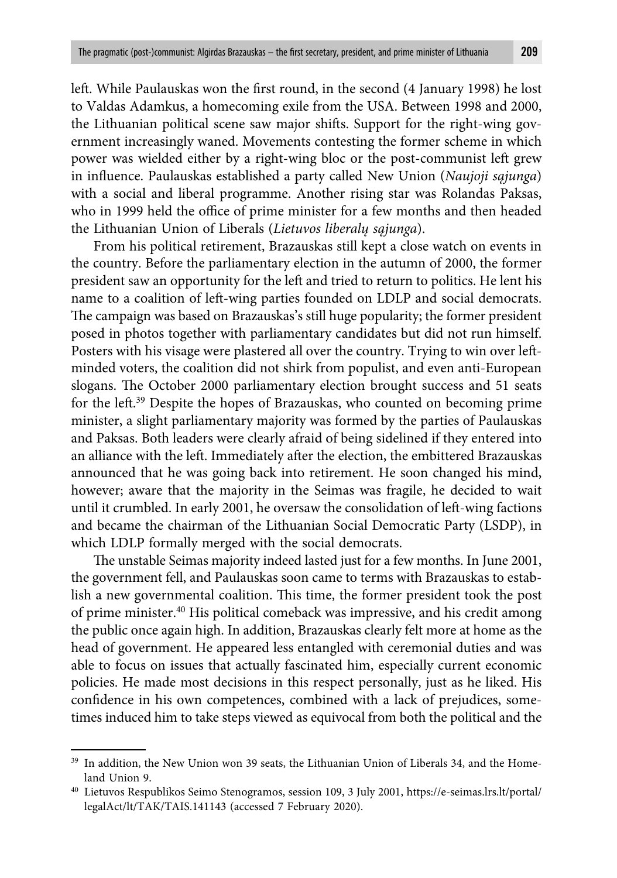left. While Paulauskas won the first round, in the second (4 January 1998) he lost to Valdas Adamkus, a homecoming exile from the USA. Between 1998 and 2000, the Lithuanian political scene saw major shifts. Support for the right-wing government increasingly waned. Movements contesting the former scheme in which power was wielded either by a right-wing bloc or the post-communist left grew in influence. Paulauskas established a party called New Union (*Naujoji sąjunga*) with a social and liberal programme. Another rising star was Rolandas Paksas, who in 1999 held the office of prime minister for a few months and then headed the Lithuanian Union of Liberals (*Lietuvos liberalų sąjunga*).

From his political retirement, Brazauskas still kept a close watch on events in the country. Before the parliamentary election in the autumn of 2000, the former president saw an opportunity for the left and tried to return to politics. He lent his name to a coalition of left-wing parties founded on LDLP and social democrats. The campaign was based on Brazauskas's still huge popularity; the former president posed in photos together with parliamentary candidates but did not run himself. Posters with his visage were plastered all over the country. Trying to win over leftminded voters, the coalition did not shirk from populist, and even anti-European slogans. The October 2000 parliamentary election brought success and 51 seats for the left .39 Despite the hopes of Brazauskas, who counted on becoming prime minister, a slight parliamentary majority was formed by the parties of Paulauskas and Paksas. Both leaders were clearly afraid of being sidelined if they entered into an alliance with the left. Immediately after the election, the embittered Brazauskas announced that he was going back into retirement. He soon changed his mind, however; aware that the majority in the Seimas was fragile, he decided to wait until it crumbled. In early 2001, he oversaw the consolidation of left -wing factions and became the chairman of the Lithuanian Social Democratic Party (LSDP), in which LDLP formally merged with the social democrats.

The unstable Seimas majority indeed lasted just for a few months. In June 2001, the government fell, and Paulauskas soon came to terms with Brazauskas to establish a new governmental coalition. This time, the former president took the post of prime minister.40 His political comeback was impressive, and his credit among the public once again high. In addition, Brazauskas clearly felt more at home as the head of government. He appeared less entangled with ceremonial duties and was able to focus on issues that actually fascinated him, especially current economic policies. He made most decisions in this respect personally, just as he liked. His confidence in his own competences, combined with a lack of prejudices, sometimes induced him to take steps viewed as equivocal from both the political and the

<sup>&</sup>lt;sup>39</sup> In addition, the New Union won 39 seats, the Lithuanian Union of Liberals 34, and the Homeland Union 9.

<sup>40</sup> Lietuvos Respublikos Seimo Stenogramos, session 109, 3 July 2001, https://e-seimas.lrs.lt/portal/ legalAct/lt/TAK/TAIS.141143 (accessed 7 February 2020).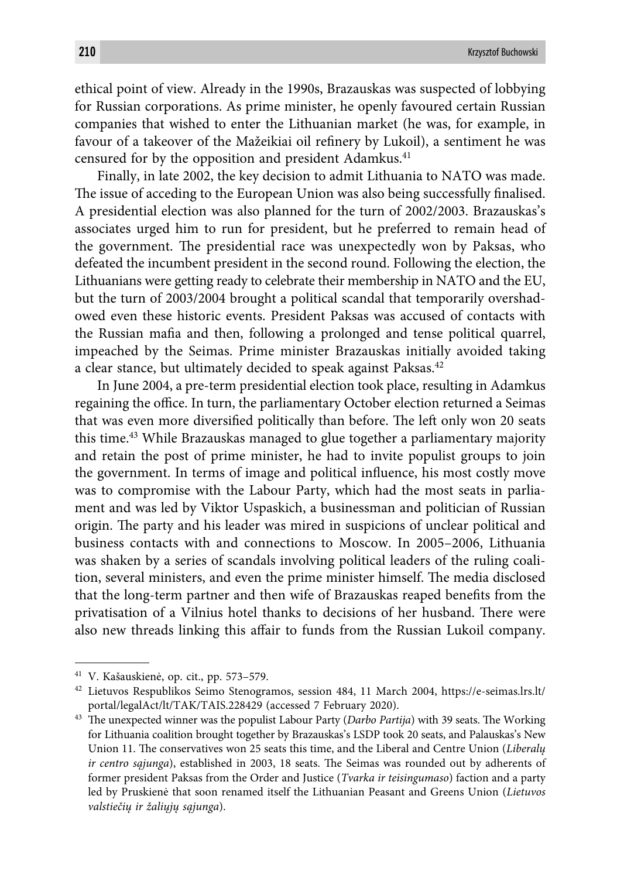ethical point of view. Already in the 1990s, Brazauskas was suspected of lobbying for Russian corporations. As prime minister, he openly favoured certain Russian companies that wished to enter the Lithuanian market (he was, for example, in favour of a takeover of the Mažeikiai oil refinery by Lukoil), a sentiment he was censured for by the opposition and president Adamkus.<sup>41</sup>

Finally, in late 2002, the key decision to admit Lithuania to NATO was made. The issue of acceding to the European Union was also being successfully finalised. A presidential election was also planned for the turn of 2002/2003. Brazauskas's associates urged him to run for president, but he preferred to remain head of the government. The presidential race was unexpectedly won by Paksas, who defeated the incumbent president in the second round. Following the election, the Lithuanians were getting ready to celebrate their membership in NATO and the EU, but the turn of 2003/2004 brought a political scandal that temporarily overshadowed even these historic events. President Paksas was accused of contacts with the Russian mafia and then, following a prolonged and tense political quarrel, impeached by the Seimas. Prime minister Brazauskas initially avoided taking a clear stance, but ultimately decided to speak against Paksas.<sup>42</sup>

In June 2004, a pre-term presidential election took place, resulting in Adamkus regaining the office. In turn, the parliamentary October election returned a Seimas that was even more diversified politically than before. The left only won 20 seats this time.43 While Brazauskas managed to glue together a parliamentary majority and retain the post of prime minister, he had to invite populist groups to join the government. In terms of image and political influence, his most costly move was to compromise with the Labour Party, which had the most seats in parliament and was led by Viktor Uspaskich, a businessman and politician of Russian origin. The party and his leader was mired in suspicions of unclear political and business contacts with and connections to Moscow. In 2005–2006, Lithuania was shaken by a series of scandals involving political leaders of the ruling coalition, several ministers, and even the prime minister himself. The media disclosed that the long-term partner and then wife of Brazauskas reaped benefits from the privatisation of a Vilnius hotel thanks to decisions of her husband. There were also new threads linking this affair to funds from the Russian Lukoil company.

<sup>41</sup> V. Kašauskienė, op. cit., pp. 573–579.

<sup>42</sup> Lietuvos Respublikos Seimo Stenogramos, session 484, 11 March 2004, https://e-seimas.lrs.lt/ portal/legalAct/lt/TAK/TAIS.228429 (accessed 7 February 2020).

<sup>&</sup>lt;sup>43</sup> The unexpected winner was the populist Labour Party (Darbo Partija) with 39 seats. The Working for Lithuania coalition brought together by Brazauskas's LSDP took 20 seats, and Palauskas's New Union 11. The conservatives won 25 seats this time, and the Liberal and Centre Union (*Liberaly ir centro sąjunga*), established in 2003, 18 seats. The Seimas was rounded out by adherents of former president Paksas from the Order and Justice (*Tvarka ir teisingumaso*) faction and a party led by Pruskienė that soon renamed itself the Lithuanian Peasant and Greens Union (*Lietuvos valstiečių ir žaliųjų sąjunga*).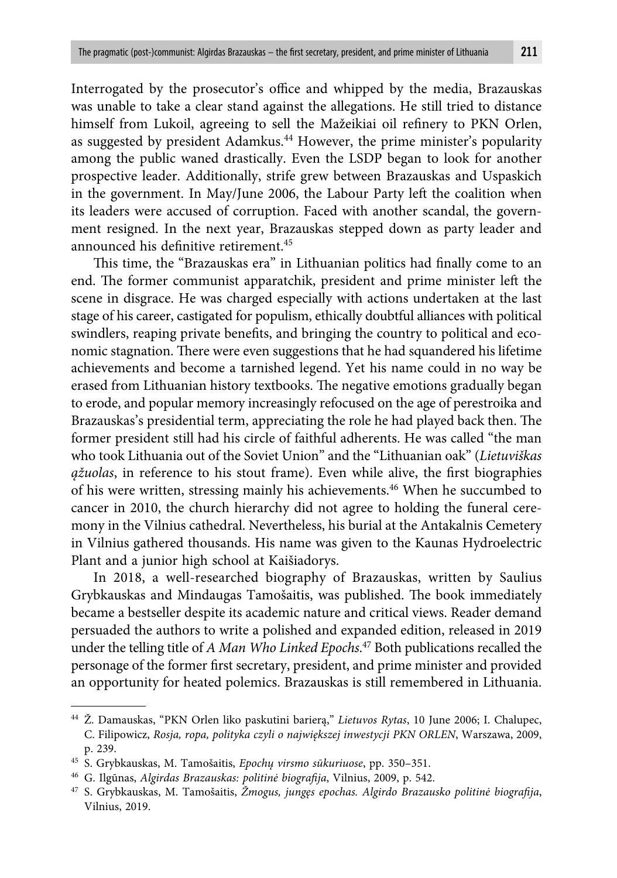Interrogated by the prosecutor's office and whipped by the media, Brazauskas was unable to take a clear stand against the allegations. He still tried to distance himself from Lukoil, agreeing to sell the Mažeikiai oil refinery to PKN Orlen, as suggested by president Adamkus.44 However, the prime minister's popularity among the public waned drastically. Even the LSDP began to look for another prospective leader. Additionally, strife grew between Brazauskas and Uspaskich in the government. In May/June 2006, the Labour Party left the coalition when its leaders were accused of corruption. Faced with another scandal, the government resigned. In the next year, Brazauskas stepped down as party leader and announced his definitive retirement.<sup>45</sup>

This time, the "Brazauskas era" in Lithuanian politics had finally come to an end. The former communist apparatchik, president and prime minister left the scene in disgrace. He was charged especially with actions undertaken at the last stage of his career, castigated for populism, ethically doubtful alliances with political swindlers, reaping private benefits, and bringing the country to political and economic stagnation. There were even suggestions that he had squandered his lifetime achievements and become a tarnished legend. Yet his name could in no way be erased from Lithuanian history textbooks. The negative emotions gradually began to erode, and popular memory increasingly refocused on the age of perestroika and Brazauskas's presidential term, appreciating the role he had played back then. The former president still had his circle of faithful adherents. He was called "the man who took Lithuania out of the Soviet Union" and the "Lithuanian oak" (*Lietuviškas gžuolas*, in reference to his stout frame). Even while alive, the first biographies of his were written, stressing mainly his achievements.46 When he succumbed to cancer in 2010, the church hierarchy did not agree to holding the funeral ceremony in the Vilnius cathedral. Nevertheless, his burial at the Antakalnis Cemetery in Vilnius gathered thousands. His name was given to the Kaunas Hydroelectric Plant and a junior high school at Kaišiadorys.

In 2018, a well-researched biography of Brazauskas, written by Saulius Grybkauskas and Mindaugas Tamošaitis, was published. The book immediately became a bestseller despite its academic nature and critical views. Reader demand persuaded the authors to write a polished and expanded edition, released in 2019 under the telling title of *A Man Who Linked Epochs*. 47 Both publications recalled the personage of the former first secretary, president, and prime minister and provided an opportunity for heated polemics. Brazauskas is still remembered in Lithuania.

<sup>44</sup> Ž. Damauskas, "PKN Orlen liko paskutini barierą," *Lietuvos Rytas*, 10 June 2006; I. Chalupec, C. Filipowicz, *Rosja, ropa, polityka czyli o największej inwestycji PKN ORLEN*, Warszawa, 2009, p. 239.

<sup>45</sup> S. Grybkauskas, M. Tamošaitis, *Epochų virsmo sūkuriuose*, pp. 350–351.

<sup>&</sup>lt;sup>46</sup> G. Ilgūnas, Algirdas Brazauskas: politinė biografija, Vilnius, 2009, p. 542.

<sup>&</sup>lt;sup>47</sup> S. Grybkauskas, M. Tamošaitis, Žmogus, jungęs epochas. Algirdo Brazausko politinė biografija, Vilnius, 2019.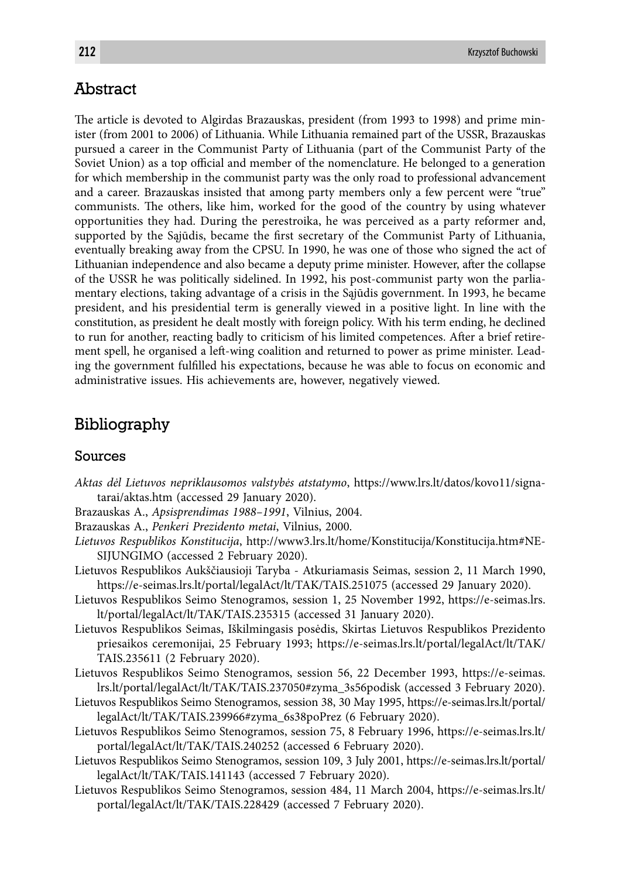### Abstract

The article is devoted to Algirdas Brazauskas, president (from 1993 to 1998) and prime minister (from 2001 to 2006) of Lithuania. While Lithuania remained part of the USSR, Brazauskas pursued a career in the Communist Party of Lithuania (part of the Communist Party of the Soviet Union) as a top official and member of the nomenclature. He belonged to a generation for which membership in the communist party was the only road to professional advancement and a career. Brazauskas insisted that among party members only a few percent were "true" communists. The others, like him, worked for the good of the country by using whatever opportunities they had. During the perestroika, he was perceived as a party reformer and, supported by the Sajūdis, became the first secretary of the Communist Party of Lithuania, eventually breaking away from the CPSU. In 1990, he was one of those who signed the act of Lithuanian independence and also became a deputy prime minister. However, after the collapse of the USSR he was politically sidelined. In 1992, his post-communist party won the parliamentary elections, taking advantage of a crisis in the Sąjūdis government. In 1993, he became president, and his presidential term is generally viewed in a positive light. In line with the constitution, as president he dealt mostly with foreign policy. With his term ending, he declined to run for another, reacting badly to criticism of his limited competences. After a brief retirement spell, he organised a left-wing coalition and returned to power as prime minister. Leading the government fulfilled his expectations, because he was able to focus on economic and administrative issues. His achievements are, however, negatively viewed.

## Bibliography

### Sources

- *Aktas dėl Lietuvos nepriklausomos valstybės atstatymo*, https://www.lrs.lt/datos/kovo11/signatarai/aktas.htm (accessed 29 January 2020).
- Brazauskas A., *Apsisprendimas 1988–1991*, Vilnius, 2004.
- Brazauskas A., *Penkeri Prezidento metai*, Vilnius, 2000.
- *Lietuvos Respublikos Konstitucija*, http://www3.lrs.lt/home/Konstitucija/Konstitucija.htm#NE-SIJUNGIMO (accessed 2 February 2020).
- Lietuvos Respublikos Aukščiausioji Taryba Atkuriamasis Seimas, session 2, 11 March 1990, https://e-seimas.lrs.lt/portal/legalAct/lt/TAK/TAIS.251075 (accessed 29 January 2020).
- Lietuvos Respublikos Seimo Stenogramos, session 1, 25 November 1992, https://e-seimas.lrs. lt/portal/legalAct/lt/TAK/TAIS.235315 (accessed 31 January 2020).
- Lietuvos Respublikos Seimas, Iškilmingasis posėdis, Skirtas Lietuvos Respublikos Prezidento priesaikos ceremonijai, 25 February 1993; https://e-seimas.lrs.lt/portal/legalAct/lt/TAK/ TAIS.235611 (2 February 2020).
- Lietuvos Respublikos Seimo Stenogramos, session 56, 22 December 1993, https://e-seimas. lrs.lt/portal/legalAct/lt/TAK/TAIS.237050#zyma\_3s56podisk (accessed 3 February 2020).
- Lietuvos Respublikos Seimo Stenogramos, session 38, 30 May 1995, https://e-seimas.lrs.lt/portal/ legalAct/lt/TAK/TAIS.239966#zyma\_6s38poPrez (6 February 2020).
- Lietuvos Respublikos Seimo Stenogramos, session 75, 8 February 1996, https://e-seimas.lrs.lt/ portal/legalAct/lt/TAK/TAIS.240252 (accessed 6 February 2020).
- Lietuvos Respublikos Seimo Stenogramos, session 109, 3 July 2001, https://e-seimas.lrs.lt/portal/ legalAct/lt/TAK/TAIS.141143 (accessed 7 February 2020).
- Lietuvos Respublikos Seimo Stenogramos, session 484, 11 March 2004, https://e-seimas.lrs.lt/ portal/legalAct/lt/TAK/TAIS.228429 (accessed 7 February 2020).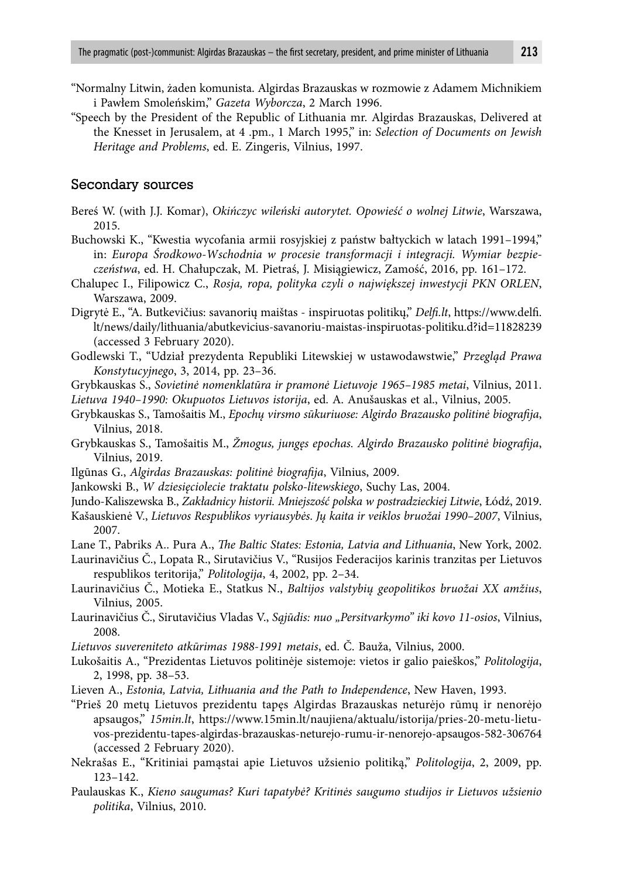- "Normalny Litwin, żaden komunista. Algirdas Brazauskas w rozmowie z Adamem Michnikiem i Pawłem Smoleńskim," *Gazeta Wyborcza*, 2 March 1996.
- "Speech by the President of the Republic of Lithuania mr. Algirdas Brazauskas, Delivered at the Knesset in Jerusalem, at 4 .pm., 1 March 1995," in: *Selection of Documents on Jewish Heritage and Problems*, ed. E. Zingeris, Vilnius, 1997.

#### Secondary sources

- Bereś W. (with J.J. Komar), *Okińczyc wileński autorytet. Opowieść o wolnej Litwie*, Warszawa, 2015.
- Buchowski K., "Kwestia wycofania armii rosyjskiej z państw bałtyckich w latach 1991–1994," in: *Europa Środkowo-Wschodnia w procesie transformacji i integracji. Wymiar bezpieczeństwa*, ed. H. Chałupczak, M. Pietraś, J. Misiągiewicz, Zamość, 2016, pp. 161–172.
- Chalupec I., Filipowicz C., *Rosja, ropa, polityka czyli o największej inwestycji PKN ORLEN*, Warszawa, 2009.
- Digrytė E., "A. Butkevičius: savanorių maištas inspiruotas politikų," *Delfi .lt*, https://www.delfi . lt/news/daily/lithuania/abutkevicius-savanoriu-maistas-inspiruotas-politiku.d?id=11828239 (accessed 3 February 2020).
- Godlewski T., "Udział prezydenta Republiki Litewskiej w ustawodawstwie," *Przegląd Prawa Konstytucyjnego*, 3, 2014, pp. 23–36.
- Grybkauskas S., *Sovietinė nomenklatūra ir pramonė Lietuvoje 1965–1985 metai*, Vilnius, 2011.
- *Lietuva 1940–1990: Okupuotos Lietuvos istorija*, ed. A. Anušauskas et al., Vilnius, 2005.
- Grybkauskas S., Tamošaitis M., *Epochų virsmo sūkuriuose: Algirdo Brazausko politinė biografija*, Vilnius, 2018.
- Grybkauskas S., Tamošaitis M., *Žmogus, jungęs epochas. Algirdo Brazausko politinė biografi ja*, Vilnius, 2019.
- Ilgūnas G., *Algirdas Brazauskas: politinė biografija*, Vilnius, 2009.
- Jankowski B., *W dziesięciolecie traktatu polsko-litewskiego*, Suchy Las, 2004.
- Jundo-Kaliszewska B., *Zakładnicy historii. Mniejszość polska w postradzieckiej Litwie*, Łódź, 2019.
- Kašauskienė V., *Lietuvos Respublikos vyriausybės*. *Jų kaita ir veiklos bruožai 1990–2007*, Vilnius, 2007.
- Lane T., Pabriks A.. Pura A., *The Baltic States: Estonia, Latvia and Lithuania*, New York, 2002.
- Laurinavičius Č., Lopata R., Sirutavičius V., "Rusijos Federacijos karinis tranzitas per Lietuvos respublikos teritorija," *Politologija*, 4, 2002, pp. 2–34.
- Laurinavičius Č., Motieka E., Statkus N., *Baltijos valstybių geopolitikos bruožai XX amžius*, Vilnius, 2005.
- Laurinavičius Č., Sirutavičius Vladas V., *Sąjūdis: nuo "Persitvarkymo" iki kovo 11-osios*, Vilnius, 2008.
- *Lietuvos suvereniteto atkūrimas 1988-1991 metais*, ed. Č. Bauža, Vilnius, 2000.
- Lukošaitis A., "Prezidentas Lietuvos politinėje sistemoje: vietos ir galio paieškos," *Politologija*, 2, 1998, pp. 38–53.
- Lieven A., *Estonia, Latvia, Lithuania and the Path to Independence*, New Haven, 1993.
- "Prieš 20 metų Lietuvos prezidentu tapęs Algirdas Brazauskas neturėjo rūmų ir nenorėjo apsaugos," *15min.lt*, https://www.15min.lt/naujiena/aktualu/istorija/pries-20-metu-lietuvos-prezidentu-tapes-algirdas-brazauskas-neturejo-rumu-ir-nenorejo-apsaugos-582-306764 (accessed 2 February 2020).
- Nekrašas E., "Kritiniai pamąstai apie Lietuvos užsienio politiką," *Politologija*, 2, 2009, pp. 123–142.
- Paulauskas K., *Kieno saugumas? Kuri tapatybė? Kritinės saugumo studijos ir Lietuvos užsienio politika*, Vilnius, 2010.